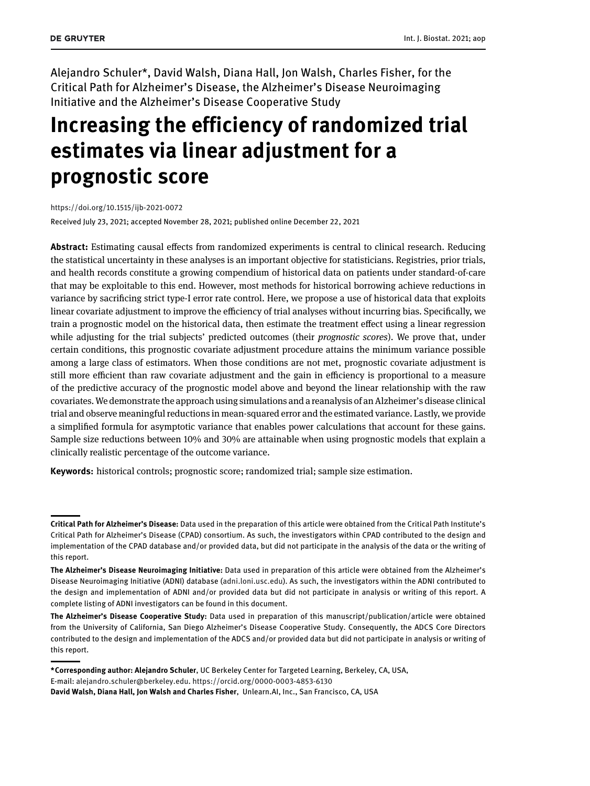Alejandro Schuler\*, David Walsh, Diana Hall, Jon Walsh, Charles Fisher, for the Critical Path for Alzheimer's Disease, the Alzheimer's Disease Neuroimaging Initiative and the Alzheimer's Disease Cooperative Study

# **Increasing the efficiency of randomized trial estimates via linear adjustment for a prognostic score**

<https://doi.org/10.1515/ijb-2021-0072>

Received July 23, 2021; accepted November 28, 2021; published online December 22, 2021

**Abstract:** Estimating causal effects from randomized experiments is central to clinical research. Reducing the statistical uncertainty in these analyses is an important objective for statisticians. Registries, prior trials, and health records constitute a growing compendium of historical data on patients under standard-of-care that may be exploitable to this end. However, most methods for historical borrowing achieve reductions in variance by sacrificing strict type-I error rate control. Here, we propose a use of historical data that exploits linear covariate adjustment to improve the efficiency of trial analyses without incurring bias. Specifically, we train a prognostic model on the historical data, then estimate the treatment effect using a linear regression while adjusting for the trial subjects' predicted outcomes (their *prognostic scores*). We prove that, under certain conditions, this prognostic covariate adjustment procedure attains the minimum variance possible among a large class of estimators. When those conditions are not met, prognostic covariate adjustment is still more efficient than raw covariate adjustment and the gain in efficiency is proportional to a measure of the predictive accuracy of the prognostic model above and beyond the linear relationship with the raw covariates. We demonstrate the approach using simulations and a reanalysis of an Alzheimer's disease clinical trial and observe meaningful reductions in mean-squared error and the estimated variance. Lastly, we provide a simplified formula for asymptotic variance that enables power calculations that account for these gains. Sample size reductions between 10% and 30% are attainable when using prognostic models that explain a clinically realistic percentage of the outcome variance.

**Keywords:** historical controls; prognostic score; randomized trial; sample size estimation.

**Critical Path for Alzheimer's Disease:** Data used in the preparation of this article were obtained from the Critical Path Institute's Critical Path for Alzheimer's Disease (CPAD) consortium. As such, the investigators within CPAD contributed to the design and implementation of the CPAD database and/or provided data, but did not participate in the analysis of the data or the writing of this report.

**The Alzheimer's Disease Neuroimaging Initiative:** Data used in preparation of this article were obtained from the Alzheimer's Disease Neuroimaging Initiative (ADNI) database [\(adni.loni.usc.edu\)](http://adni.loni.usc.edu). As such, the investigators within the ADNI contributed to the design and implementation of ADNI and/or provided data but did not participate in analysis or writing of this report. A complete listing of ADNI investigators can be found in this document.

**The Alzheimer's Disease Cooperative Study:** Data used in preparation of this manuscript/publication/article were obtained from the University of California, San Diego Alzheimer's Disease Cooperative Study. Consequently, the ADCS Core Directors contributed to the design and implementation of the ADCS and/or provided data but did not participate in analysis or writing of this report.

**<sup>\*</sup>Corresponding author: Alejandro Schuler**, UC Berkeley Center for Targeted Learning, Berkeley, CA, USA, E-mail: [alejandro.schuler@berkeley.edu.](mailto:alejandro.schuler@berkeley.edu) <https://orcid.org/0000-0003-4853-6130> **David Walsh, Diana Hall, Jon Walsh and Charles Fisher**, Unlearn.AI, Inc., San Francisco, CA, USA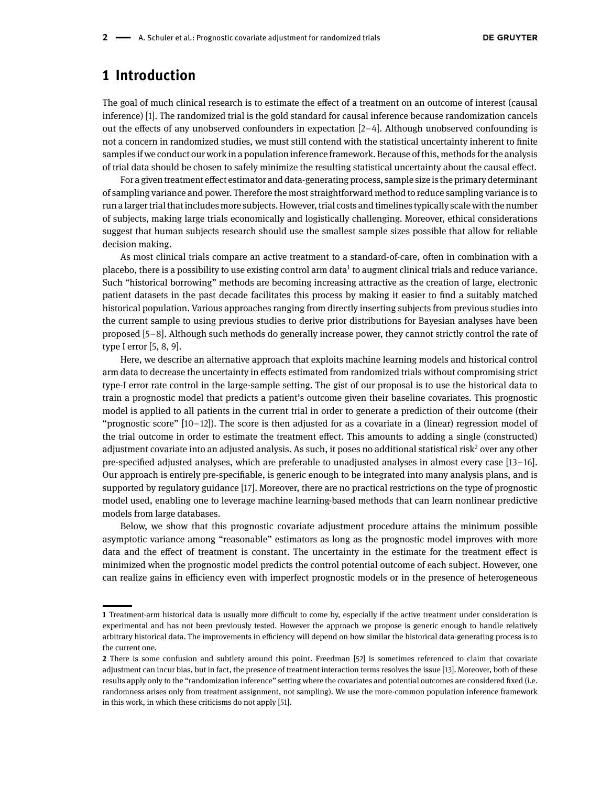## **1 Introduction**

The goal of much clinical research is to estimate the effect of a treatment on an outcome of interest (causal inference) [\[1\]](#page-25-0). The randomized trial is the gold standard for causal inference because randomization cancels out the effects of any unobserved confounders in expectation [\[2](#page-25-1)[–4\]](#page-25-2). Although unobserved confounding is not a concern in randomized studies, we must still contend with the statistical uncertainty inherent to finite samples if we conduct our work in a population inference framework. Because of this, methods for the analysis of trial data should be chosen to safely minimize the resulting statistical uncertainty about the causal effect.

For a given treatment effect estimator and data-generating process, sample sizeis the primary determinant of sampling variance and power. Therefore the most straightforward method to reduce sampling variance is to run alarger trial that includes more subjects. However, trial costs and timelines typically scale with the number of subjects, making large trials economically and logistically challenging. Moreover, ethical considerations suggest that human subjects research should use the smallest sample sizes possible that allow for reliable decision making.

As most clinical trials compare an active treatment to a standard-of-care, often in combination with a placebo, there is a possibility to use existing control arm data<sup>[1](#page-1-0)</sup> to augment clinical trials and reduce variance. Such "historical borrowing" methods are becoming increasing attractive as the creation of large, electronic patient datasets in the past decade facilitates this process by making it easier to find a suitably matched historical population. Various approaches ranging from directly inserting subjects from previous studies into the current sample to using previous studies to derive prior distributions for Bayesian analyses have been proposed [\[5](#page-25-3)[–8\]](#page-26-0). Although such methods do generally increase power, they cannot strictly control the rate of type I error [\[5,](#page-25-3) [8,](#page-26-0) [9\]](#page-26-1).

Here, we describe an alternative approach that exploits machine learning models and historical control arm data to decrease the uncertainty in effects estimated from randomized trials without compromising strict type-I error rate control in the large-sample setting. The gist of our proposal is to use the historical data to train a prognostic model that predicts a patient's outcome given their baseline covariates. This prognostic model is applied to all patients in the current trial in order to generate a prediction of their outcome (their "prognostic score"  $[10-12]$  $[10-12]$ ). The score is then adjusted for as a covariate in a (linear) regression model of the trial outcome in order to estimate the treatment effect. This amounts to adding a single (constructed) adjustment covariate into an adjusted analysis. As such, it poses no additional statistical risk<sup>[2](#page-1-1)</sup> over any other pre-specified adjusted analyses, which are preferable to unadjusted analyses in almost every case [\[13–](#page-26-4)[16\]](#page-26-5). Our approach is entirely pre-specifiable, is generic enough to be integrated into many analysis plans, and is supported by regulatory guidance [\[17\]](#page-26-6). Moreover, there are no practical restrictions on the type of prognostic model used, enabling one to leverage machine learning-based methods that can learn nonlinear predictive models from large databases.

Below, we show that this prognostic covariate adjustment procedure attains the minimum possible asymptotic variance among "reasonable" estimators as long as the prognostic model improves with more data and the effect of treatment is constant. The uncertainty in the estimate for the treatment effect is minimized when the prognostic model predicts the control potential outcome of each subject. However, one can realize gains in efficiency even with imperfect prognostic models or in the presence of heterogeneous

<span id="page-1-0"></span>**<sup>1</sup>** Treatment-arm historical data is usually more difficult to come by, especially if the active treatment under consideration is experimental and has not been previously tested. However the approach we propose is generic enough to handle relatively arbitrary historical data. The improvements in efficiency will depend on how similar the historical data-generating process is to the current one.

<span id="page-1-1"></span>**<sup>2</sup>** There is some confusion and subtlety around this point. Freedman [\[52\]](#page-27-0) is sometimes referenced to claim that covariate adjustment can incur bias, but in fact, the presence of treatment interaction terms resolves the issue [\[13\]](#page-26-4). Moreover, both of these results apply only to the "randomization inference" setting where the covariates and potential outcomes are considered fixed (i.e. randomness arises only from treatment assignment, not sampling). We use the more-common population inference framework in this work, in which these criticisms do not apply [\[51\]](#page-27-1).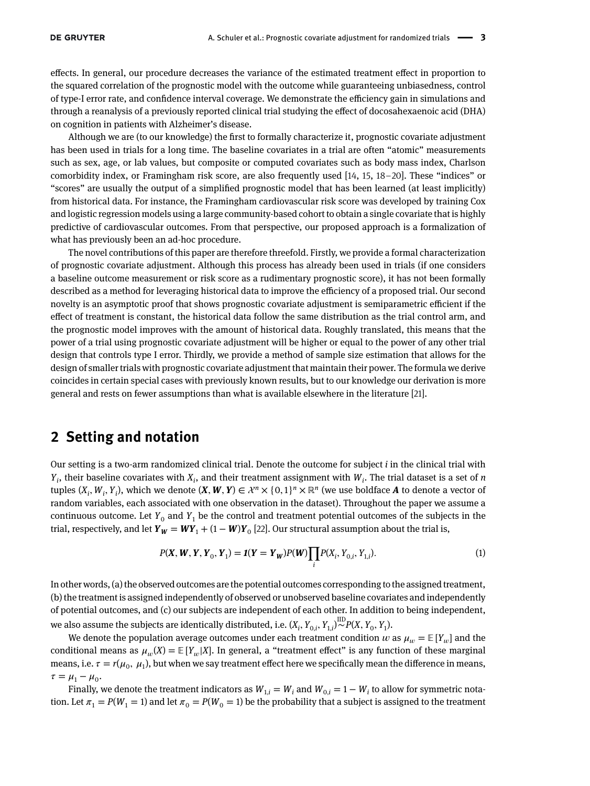effects. In general, our procedure decreases the variance of the estimated treatment effect in proportion to the squared correlation of the prognostic model with the outcome while guaranteeing unbiasedness, control of type-I error rate, and confidence interval coverage. We demonstrate the efficiency gain in simulations and through a reanalysis of a previously reported clinical trial studying the effect of docosahexaenoic acid (DHA) on cognition in patients with Alzheimer's disease.

Although we are (to our knowledge) the first to formally characterize it, prognostic covariate adjustment has been used in trials for a long time. The baseline covariates in a trial are often "atomic" measurements such as sex, age, or lab values, but composite or computed covariates such as body mass index, Charlson comorbidity index, or Framingham risk score, are also frequently used [\[14,](#page-26-7) [15,](#page-26-8) [18–](#page-26-9)[20\]](#page-26-10). These "indices" or "scores" are usually the output of a simplified prognostic model that has been learned (at least implicitly) from historical data. For instance, the Framingham cardiovascular risk score was developed by training Cox and logistic regression models using a large community-based cohort to obtain a single covariate that is highly predictive of cardiovascular outcomes. From that perspective, our proposed approach is a formalization of what has previously been an ad-hoc procedure.

The novel contributions of this paper are therefore threefold. Firstly, we provide a formal characterization of prognostic covariate adjustment. Although this process has already been used in trials (if one considers a baseline outcome measurement or risk score as a rudimentary prognostic score), it has not been formally described as a method for leveraging historical data to improve the efficiency of a proposed trial. Our second novelty is an asymptotic proof that shows prognostic covariate adjustment is semiparametric efficient if the effect of treatment is constant, the historical data follow the same distribution as the trial control arm, and the prognostic model improves with the amount of historical data. Roughly translated, this means that the power of a trial using prognostic covariate adjustment will be higher or equal to the power of any other trial design that controls type I error. Thirdly, we provide a method of sample size estimation that allows for the design of smaller trials with prognostic covariate adjustment that maintain their power. The formula we derive coincides in certain special cases with previously known results, but to our knowledge our derivation is more general and rests on fewer assumptions than what is available elsewhere in the literature [\[21\]](#page-26-11).

## **2 Setting and notation**

Our setting is a two-arm randomized clinical trial. Denote the outcome for subject *i* in the clinical trial with  $Y_i$ , their baseline covariates with  $X_i$ , and their treatment assignment with  $W_i$ . The trial dataset is a set of *n* tuples  $(X_i, W_i, Y_i)$ , which we denote  $(X, W, Y) \in \mathcal{X}^n \times \{0, 1\}^n \times \mathbb{R}^n$  (we use boldface *A* to denote a vector of random variables, each associated with one observation in the dataset). Throughout the paper we assume a continuous outcome. Let  $Y_0$  and  $Y_1$  be the control and treatment potential outcomes of the subjects in the trial, respectively, and let  $Y_W = WY_1 + (1 - W)Y_0$  [\[22\]](#page-26-12). Our structural assumption about the trial is,

<span id="page-2-0"></span>
$$
P(X, W, Y, Y_0, Y_1) = \mathbf{1}(Y = Y_W)P(W) \prod_i P(X_i, Y_{0,i}, Y_{1,i}).
$$
\n(1)

In other words, (a) the observed outcomes are the potential outcomes corresponding to the assigned treatment, (b) the treatment is assigned independently of observed or unobserved baseline covariates and independently of potential outcomes, and (c) our subjects are independent of each other. In addition to being independent, we also assume the subjects are identically distributed, i.e.  $(X_i, Y_{0,i}, Y_{1,i})^{\text{ID}} P(X, Y_0, Y_1)$ .

We denote the population average outcomes under each treatment condition  $w$  as  $\mu_w = \mathbb{E}[Y_w]$  and the conditional means as  $\mu_w(X) = \mathbb{E}[Y_w|X]$ . In general, a "treatment effect" is any function of these marginal means, i.e.  $\tau = r(\mu_0, \mu_1)$ , but when we say treatment effect here we specifically mean the difference in means,  $\tau = \mu_1 - \mu_0.$ 

Finally, we denote the treatment indicators as  $W_{1,i} = W_i$  and  $W_{0,i} = 1 - W_i$  to allow for symmetric notation. Let  $\pi_1 = P(W_1 = 1)$  and let  $\pi_0 = P(W_0 = 1)$  be the probability that a subject is assigned to the treatment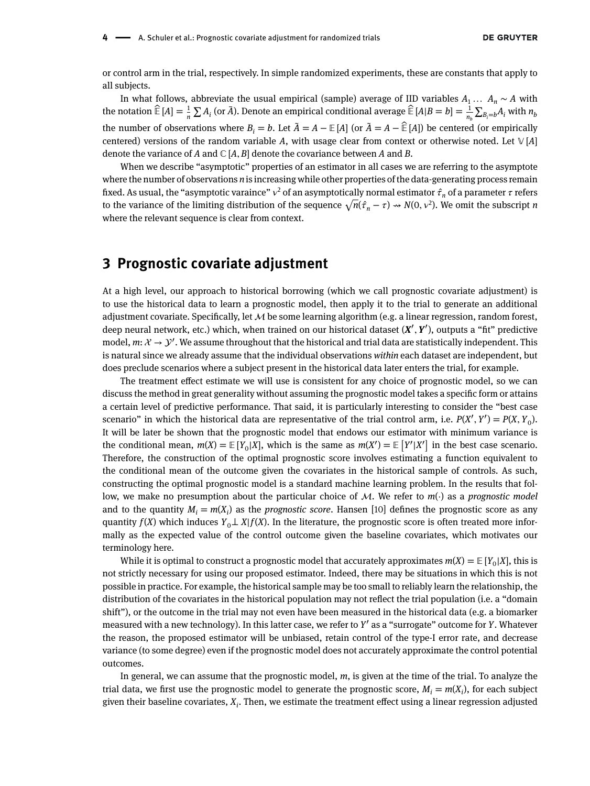or control arm in the trial, respectively. In simple randomized experiments, these are constants that apply to all subjects.

In what follows, abbreviate the usual empirical (sample) average of IID variables  $A_1 \ldots A_n \sim A$  with the notation  $\hat{E}[A] = \frac{1}{n} \sum A_i$  (or  $\bar{A}$ ). Denote an empirical conditional average  $\hat{E}[A|B = b] = \frac{1}{n_b} \sum_{B_i=b} A_i$  with  $n_b$ the number of observations where  $B_i = b$ . Let  $\tilde{A} = A - \mathbb{E}[A]$  (or  $\tilde{A} = A - \hat{E}[A]$ ) be centered (or empirically centered) versions of the random variable A, with usage clear from context or otherwise noted. Let  $\mathbb{V}[A]$ denote the variance of *A* and  $\mathbb{C}[A, B]$  denote the covariance between *A* and *B*.

When we describe "asymptotic" properties of an estimator in all cases we are referring to the asymptote where the number of observations *n* is increasing while other properties of the data-generating process remain fixed. As usual, the "asymptotic varaince"  $v^2$  of an asymptotically normal estimator  $\hat{\tau}_n$  of a parameter  $\tau$  refers to the variance of the limiting distribution of the sequence  $\sqrt{n}(\hat{\tau}_n - \tau) \rightsquigarrow N(0, \nu^2)$ . We omit the subscript *n* where the relevant sequence is clear from context.

## <span id="page-3-0"></span>**3 Prognostic covariate adjustment**

At a high level, our approach to historical borrowing (which we call prognostic covariate adjustment) is to use the historical data to learn a prognostic model, then apply it to the trial to generate an additional adjustment covariate. Specifically, let  $\mathcal M$  be some learning algorithm (e.g. a linear regression, random forest, deep neural network, etc.) which, when trained on our historical dataset (*X*′ *, Y*′ ), outputs a "fit" predictive model,  $m: \mathcal{X} \to \mathcal{Y}'$ . We assume throughout that the historical and trial data are statistically independent. This is natural since we already assume that the individual observations *within* each dataset are independent, but does preclude scenarios where a subject present in the historical data later enters the trial, for example.

The treatment effect estimate we will use is consistent for any choice of prognostic model, so we can discuss the method in great generality without assuming the prognostic model takes a specific form or attains a certain level of predictive performance. That said, it is particularly interesting to consider the "best case scenario" in which the historical data are representative of the trial control arm, i.e.  $P(X', Y') = P(X, Y_0)$ . It will be later be shown that the prognostic model that endows our estimator with minimum variance is the conditional mean,  $m(X) = \mathbb{E}[Y_0|X]$ , which is the same as  $m(X') = \mathbb{E}[Y'|X']$  in the best case scenario. Therefore, the construction of the optimal prognostic score involves estimating a function equivalent to the conditional mean of the outcome given the covariates in the historical sample of controls. As such, constructing the optimal prognostic model is a standard machine learning problem. In the results that follow, we make no presumption about the particular choice of  $M$ . We refer to  $m(\cdot)$  as a *prognostic model* and to the quantity  $M_i = m(X_i)$  as the *prognostic score*. Hansen [\[10\]](#page-26-2) defines the prognostic score as any quantity *f*(*X*) which induces  $Y_0 \perp X$   $f(X)$ . In the literature, the prognostic score is often treated more informally as the expected value of the control outcome given the baseline covariates, which motivates our terminology here.

While it is optimal to construct a prognostic model that accurately approximates  $m(X) = \mathbb{E}[Y_0|X]$ , this is not strictly necessary for using our proposed estimator. Indeed, there may be situations in which this is not possible in practice. For example, the historical sample may be too small to reliably learn the relationship, the distribution of the covariates in the historical population may not reflect the trial population (i.e. a "domain shift"), or the outcome in the trial may not even have been measured in the historical data (e.g. a biomarker measured with a new technology). In this latter case, we refer to *Y*′ as a "surrogate" outcome for *Y*. Whatever the reason, the proposed estimator will be unbiased, retain control of the type-I error rate, and decrease variance (to some degree) even if the prognostic model does not accurately approximate the control potential outcomes.

In general, we can assume that the prognostic model, *m*, is given at the time of the trial. To analyze the trial data, we first use the prognostic model to generate the prognostic score,  $M_i = m(X_i)$ , for each subject given their baseline covariates, *Xi* . Then, we estimate the treatment effect using a linear regression adjusted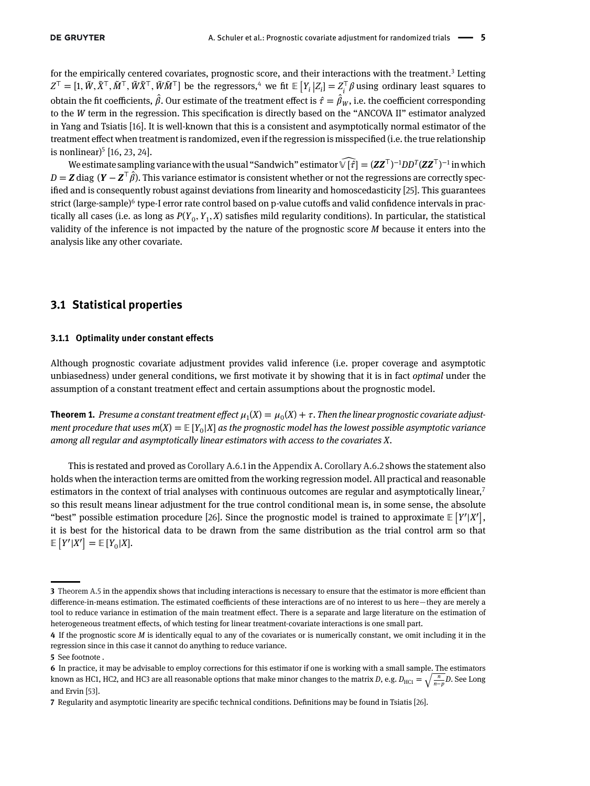for the empirically centered covariates, prognostic score, and their interactions with the treatment.<sup>3</sup> Letting  $Z^{\top} = [1, \tilde{W}, \tilde{X}^{\top}, \tilde{M}^{\top}, \tilde{W}\tilde{X}^{\top}]$  be the regressors,<sup>4</sup> we fit  $\mathbb{E}\left[Y_i | Z_i\right] = Z_i^{\top} \beta$  using ordinary least squares to obtain the fit coefficients,  $\hat{\beta}$ . Our estimate of the treatment effect is  $\hat{\tau} = \hat{\beta}_W$ , i.e. the coefficient corresponding to the *W* term in the regression. This specification is directly based on the "ANCOVA II" estimator analyzed in Yang and Tsiatis [\[16\]](#page-26-5). It is well-known that this is a consistent and asymptotically normal estimator of the treatment effect when treatment is randomized, even if the regression is misspecified (i.e. the true relationship is nonlinear $)$ <sup>[5](#page-4-2)</sup> [\[16,](#page-26-5) [23,](#page-26-13) [24\]](#page-26-14).

We estimate sampling variance with the usual "Sandwich" estimator  $\widehat{\mathbb{V}}[\widehat{f}] = (\mathbf{Z}\mathbf{Z}^{\mathsf{T}})^{-1}DD^{T}(\mathbf{Z}\mathbf{Z}^{\mathsf{T}})^{-1}$  in which  $D = \mathbf{Z}$  diag  $(\mathbf{Y} - \mathbf{Z}^\top \hat{\beta})$ . This variance estimator is consistent whether or not the regressions are correctly specified and is consequently robust against deviations from linearity and homoscedasticity [\[25\]](#page-26-15). This guarantees strict (large-sample)<sup>[6](#page-4-3)</sup> type-I error rate control based on p-value cutoffs and valid confidence intervals in practically all cases (i.e. as long as  $P(Y_0, Y_1, X)$  satisfies mild regularity conditions). In particular, the statistical validity of the inference is not impacted by the nature of the prognostic score *M* because it enters into the analysis like any other covariate.

#### **3.1 Statistical properties**

#### **3.1.1 Optimality under constant effects**

Although prognostic covariate adjustment provides valid inference (i.e. proper coverage and asymptotic unbiasedness) under general conditions, we first motivate it by showing that it is in fact *optimal* under the assumption of a constant treatment effect and certain assumptions about the prognostic model.

**Theorem 1.** Presume a constant treatment effect  $\mu_1(X) = \mu_0(X) + \tau$ . Then the linear prognostic covariate adjust*ment procedure that uses m*(*X*) =  $E[Y_0|X]$  *as the prognostic model has the lowest possible asymptotic variance among all regular and asymptotically linear estimators with access to the covariates X.*

This is restated and proved as [Corollary A.6.1](#page-19-0) in the Appendix A. [Corollary A.6.2](#page-19-1) shows the statement also holds when the interaction terms are omitted from the working regression model. All practical and reasonable estimators in the context of trial analyses with continuous outcomes are regular and asymptotically linear, $\bar{7}$ so this result means linear adjustment for the true control conditional mean is, in some sense, the absolute "best" possible estimation procedure [\[26\]](#page-26-16). Since the prognostic model is trained to approximate  $\mathbb{E}\left[ Y'|X' \right],$ it is best for the historical data to be drawn from the same distribution as the trial control arm so that [ ]  $\mathbb{E}\left[ Y' | X' \right] = \mathbb{E}\left[ Y_0 | X \right]$ .

<span id="page-4-0"></span>**<sup>3</sup>** [Theorem A.5](#page-17-0) in the appendix shows that including interactions is necessary to ensure that the estimator is more efficient than difference-in-means estimation. The estimated coefficients of these interactions are of no interest to us here—they are merely a tool to reduce variance in estimation of the main treatment effect. There is a separate and large literature on the estimation of heterogeneous treatment effects, of which testing for linear treatment-covariate interactions is one small part.

<span id="page-4-1"></span>**<sup>4</sup>** If the prognostic score *M* is identically equal to any of the covariates or is numerically constant, we omit including it in the regression since in this case it cannot do anything to reduce variance.

<span id="page-4-2"></span>**<sup>5</sup>** See footnote .

<span id="page-4-3"></span>**<sup>6</sup>** In practice, it may be advisable to employ corrections for this estimator if one is working with a small sample. The estimators 6 In practice, it may be advisable to employ corrections for this estimator if one is working with a small sample. T<br>known as HC1, HC2, and HC3 are all reasonable options that make minor changes to the matrix *D*, e.g.  $D$ *<sup>n</sup>*−*pD*. See Long and Ervin [\[53\]](#page-27-2).

<span id="page-4-4"></span>**<sup>7</sup>** Regularity and asymptotic linearity are specific technical conditions. Definitions may be found in Tsiatis [\[26\]](#page-26-16).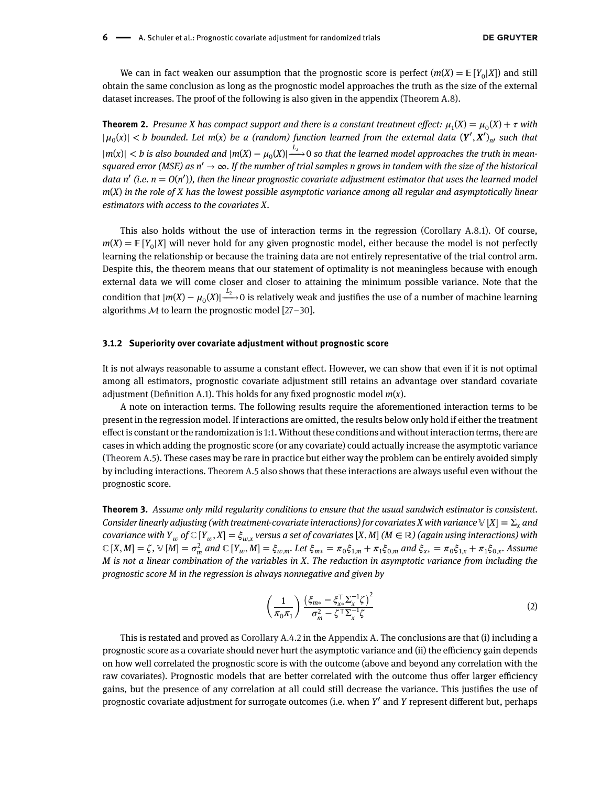We can in fact weaken our assumption that the prognostic score is perfect  $(m(X) = E[Y_0|X])$  and still obtain the same conclusion as long as the prognostic model approaches the truth as the size of the external dataset increases. The proof of the following is also given in the appendix [\(Theorem A.8\)](#page-20-0).

**Theorem 2.** Presume X has compact support and there is a constant treatment effect:  $\mu_1(X) = \mu_0(X) + \tau$  with  $|\mu_0(x)| < b$  bounded. Let m(x) be a (random) function learned from the external data  $(Y', X')_{n}$  such that  $|m(x)| < b$  is also bounded and  $|m(X) - \mu_0(X)| \stackrel{L_2}{\longrightarrow} 0$  so that the learned model approaches the truth in mean*squared error (MSE) as n*′ → ∞*. If the number of trial samples n grows in tandem with the size of the historical data n*′ *(i.e. n* = *O*(*n*′ )*), then the linear prognostic covariate adjustment estimator that uses the learned model m*(*X*) *in the role of X has the lowest possible asymptotic variance among all regular and asymptotically linear estimators with access to the covariates X.*

This also holds without the use of interaction terms in the regression [\(Corollary A.8.1\)](#page-21-0). Of course,  $m(X) = \mathbb{E}[Y_0|X]$  will never hold for any given prognostic model, either because the model is not perfectly learning the relationship or because the training data are not entirely representative of the trial control arm. Despite this, the theorem means that our statement of optimality is not meaningless because with enough external data we will come closer and closer to attaining the minimum possible variance. Note that the condition that  $|m(X) - \mu_0(X)| \stackrel{L_2}{\longrightarrow} 0$  is relatively weak and justifies the use of a number of machine learning algorithms  $M$  to learn the prognostic model [\[27–](#page-26-17)[30\]](#page-26-18).

#### **3.1.2 Superiority over covariate adjustment without prognostic score**

It is not always reasonable to assume a constant effect. However, we can show that even if it is not optimal among all estimators, prognostic covariate adjustment still retains an advantage over standard covariate adjustment [\(Definition A.1\)](#page-15-0). This holds for any fixed prognostic model *m*(*x*).

A note on interaction terms. The following results require the aforementioned interaction terms to be present in the regression model. If interactions are omitted, the results below only hold if either the treatment effect is constant or the randomization is 1:1. Without these conditions and without interaction terms, there are cases in which adding the prognostic score (or any covariate) could actually increase the asymptotic variance [\(Theorem A.5\)](#page-17-0). These cases may be rare in practice but either way the problem can be entirely avoided simply by including interactions. [Theorem A.5](#page-17-0) also shows that these interactions are always useful even without the prognostic score.

<span id="page-5-0"></span>**Theorem 3.** *Assume only mild regularity conditions to ensure that the usual sandwich estimator is consistent. Consider linearly adjusting (with treatment-covariate interactions) for covariates X with variance*  $\vee$  [X] =  $\Sigma$ <sub>*x</sub>* and</sub> *covariance with*  $Y_w$  *of*  $\mathbb{C}[Y_w, X] = \xi_{w,x}$  versus a set of covariates [X, M] ( $M \in \mathbb{R}$ ) (again using interactions) with  $\mathbb{C}[X,M] = \zeta, \mathbb{V}[M] = \sigma_m^2$  and  $\mathbb{C}[Y_w, M] = \xi_{w,m}$ . Let  $\xi_{m*} = \pi_0 \xi_{1,m} + \pi_1 \xi_{0,m}$  and  $\xi_{x*} = \pi_0 \xi_{1,x} + \pi_1 \xi_{0,x}$ . Assume *M is not a linear combination of the variables in X. The reduction in asymptotic variance from including the prognostic score M in the regression is always nonnegative and given by*

$$
\left(\frac{1}{\pi_0 \pi_1}\right) \frac{\left(\xi_{m*} - \xi_{x*}^\top \Sigma_x^{-1} \zeta\right)^2}{\sigma_m^2 - \zeta^\top \Sigma_x^{-1} \zeta}
$$
\n(2)

This is restated and proved as [Corollary A.4.2](#page-17-1) in the Appendix A. The conclusions are that (i) including a prognostic score as a covariate should never hurt the asymptotic variance and (ii) the efficiency gain depends on how well correlated the prognostic score is with the outcome (above and beyond any correlation with the raw covariates). Prognostic models that are better correlated with the outcome thus offer larger efficiency gains, but the presence of any correlation at all could still decrease the variance. This justifies the use of prognostic covariate adjustment for surrogate outcomes (i.e. when *Y*′ and *Y* represent different but, perhaps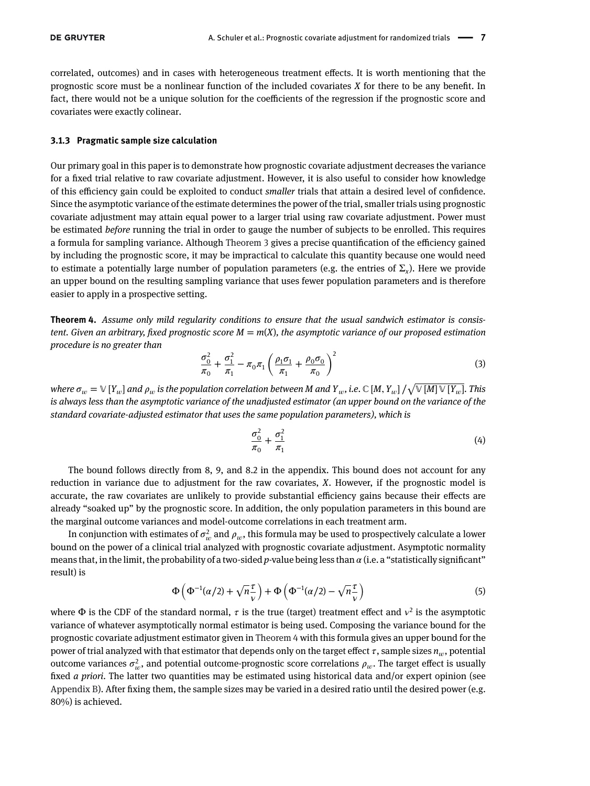correlated, outcomes) and in cases with heterogeneous treatment effects. It is worth mentioning that the prognostic score must be a nonlinear function of the included covariates *X* for there to be any benefit. In fact, there would not be a unique solution for the coefficients of the regression if the prognostic score and covariates were exactly colinear.

#### **3.1.3 Pragmatic sample size calculation**

Our primary goal in this paper is to demonstrate how prognostic covariate adjustment decreases the variance for a fixed trial relative to raw covariate adjustment. However, it is also useful to consider how knowledge of this efficiency gain could be exploited to conduct *smaller* trials that attain a desired level of confidence. Since the asymptotic variance of the estimate determines the power of the trial, smaller trials using prognostic covariate adjustment may attain equal power to a larger trial using raw covariate adjustment. Power must be estimated *before* running the trial in order to gauge the number of subjects to be enrolled. This requires a formula for sampling variance. Although [Theorem 3](#page-5-0) gives a precise quantification of the efficiency gained by including the prognostic score, it may be impractical to calculate this quantity because one would need to estimate a potentially large number of population parameters (e.g. the entries of  $\Sigma_{\gamma}$ ). Here we provide an upper bound on the resulting sampling variance that uses fewer population parameters and is therefore easier to apply in a prospective setting.

<span id="page-6-0"></span>**Theorem 4.** *Assume only mild regularity conditions to ensure that the usual sandwich estimator is consistent. Given an arbitrary, fixed prognostic score M* = *m*(*X*)*, the asymptotic variance of our proposed estimation procedure is no greater than*  $\mathcal{L}$ 

<span id="page-6-1"></span>
$$
\frac{\sigma_0^2}{\pi_0} + \frac{\sigma_1^2}{\pi_1} - \pi_0 \pi_1 \left( \frac{\rho_1 \sigma_1}{\pi_1} + \frac{\rho_0 \sigma_0}{\pi_0} \right)^2 \tag{3}
$$

where  $\sigma_w = \mathbb{V}\left[Y_w\right]$  and  $\rho_w$  is the population correlation between M and  $Y_w$ , i.e.  $\mathbb{C}\left[M,Y_w\right]/2$  $[\mathbb{W}[M] \mathbb{W}[Y_w]$ . This *is always less than the asymptotic variance of the unadjusted estimator (an upper bound on the variance of the standard covariate-adjusted estimator that uses the same population parameters), which is*

<span id="page-6-2"></span>
$$
\frac{\sigma_0^2}{\pi_0} + \frac{\sigma_1^2}{\pi_1} \tag{4}
$$

The bound follows directly from 8, 9, and 8.2 in the appendix. This bound does not account for any reduction in variance due to adjustment for the raw covariates, *X*. However, if the prognostic model is accurate, the raw covariates are unlikely to provide substantial efficiency gains because their effects are already "soaked up" by the prognostic score. In addition, the only population parameters in this bound are the marginal outcome variances and model-outcome correlations in each treatment arm.

In conjunction with estimates of  $\sigma_w^2$  and  $\rho_w$ , this formula may be used to prospectively calculate a lower bound on the power of a clinical trial analyzed with prognostic covariate adjustment. Asymptotic normality means that, in the limit, the probability of a two-sided *p*-value being less than  $\alpha$  (i.e. a "statistically significant" result) is  $\overline{\phantom{a}}$  $\mathbf{r}$  $\mathbf{r}$ 

$$
\Phi\left(\Phi^{-1}(\alpha/2) + \sqrt{n}\frac{\tau}{\nu}\right) + \Phi\left(\Phi^{-1}(\alpha/2) - \sqrt{n}\frac{\tau}{\nu}\right) \tag{5}
$$

<span id="page-6-3"></span>where  $\Phi$  is the CDF of the standard normal,  $\tau$  is the true (target) treatment effect and  $v^2$  is the asymptotic variance of whatever asymptotically normal estimator is being used. Composing the variance bound for the prognostic covariate adjustment estimator given in [Theorem 4](#page-6-0) with this formula gives an upper bound for the power of trial analyzed with that estimator that depends only on the target effect  $\tau$ , sample sizes  $n_{\mu}$ , potential outcome variances  $\sigma_w^2$ , and potential outcome-prognostic score correlations  $\rho_w$ . The target effect is usually fixed *a priori*. The latter two quantities may be estimated using historical data and/or expert opinion (see Appendix B). After fixing them, the sample sizes may be varied in a desired ratio until the desired power (e.g. 80%) is achieved.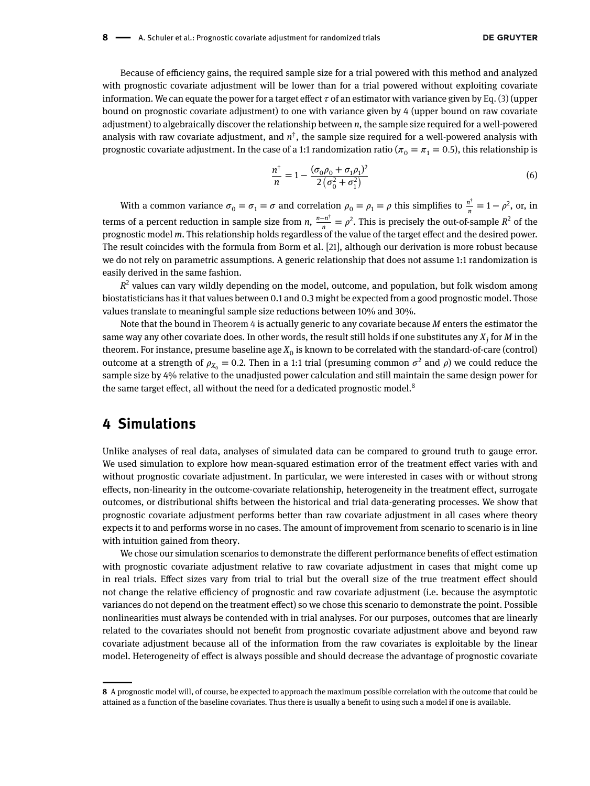Because of efficiency gains, the required sample size for a trial powered with this method and analyzed with prognostic covariate adjustment will be lower than for a trial powered without exploiting covariate information. We can equate the power for a target effect  $\tau$  of an estimator with variance given by [Eq. \(3\)](#page-6-1) (upper bound on prognostic covariate adjustment) to one with variance given by 4 (upper bound on raw covariate adjustment) to algebraically discover the relationship between *n*, the sample size required for a well-powered analysis with raw covariate adjustment, and  $n^{\dagger}$ , the sample size required for a well-powered analysis with prognostic covariate adjustment. In the case of a 1:1 randomization ratio ( $\pi_0 = \pi_1 = 0.5$ ), this relationship is

<span id="page-7-1"></span>
$$
\frac{n^{\dagger}}{n} = 1 - \frac{(\sigma_0 \rho_0 + \sigma_1 \rho_1)^2}{2(\sigma_0^2 + \sigma_1^2)}
$$
(6)

With a common variance  $\sigma_0 = \sigma_1 = \sigma$  and correlation  $\rho_0 = \rho_1 = \rho$  this simplifies to  $\frac{n^{\dagger}}{n} = 1 - \rho^2$ , or, in terms of a percent reduction in sample size from *n*,  $\frac{n-n^{\dagger}}{n} = \rho^2$ . This is precisely the out-of-sample  $R^2$  of the prognostic model *m*. This relationship holds regardless of the value of the target effect and the desired power. The result coincides with the formula from Borm et al. [\[21\]](#page-26-11), although our derivation is more robust because we do not rely on parametric assumptions. A generic relationship that does not assume 1:1 randomization is easily derived in the same fashion.

 $R<sup>2</sup>$  values can vary wildly depending on the model, outcome, and population, but folk wisdom among biostatisticians has it that values between 0.1 and 0.3 might be expected from a good prognostic model. Those values translate to meaningful sample size reductions between 10% and 30%.

Note that the bound in [Theorem 4](#page-6-0) is actually generic to any covariate because *M* enters the estimator the same way any other covariate does. In other words, the result still holds if one substitutes any  $X_j$  for  $M$  in the theorem. For instance, presume baseline age  $X_0$  is known to be correlated with the standard-of-care (control) outcome at a strength of  $\rho_{X_0} = 0.2$ . Then in a 1:1 trial (presuming common  $\sigma^2$  and  $\rho$ ) we could reduce the sample size by 4% relative to the unadjusted power calculation and still maintain the same design power for the same target effect, all without the need for a dedicated prognostic model.<sup>[8](#page-7-0)</sup>

## **4 Simulations**

Unlike analyses of real data, analyses of simulated data can be compared to ground truth to gauge error. We used simulation to explore how mean-squared estimation error of the treatment effect varies with and without prognostic covariate adjustment. In particular, we were interested in cases with or without strong effects, non-linearity in the outcome-covariate relationship, heterogeneity in the treatment effect, surrogate outcomes, or distributional shifts between the historical and trial data-generating processes. We show that prognostic covariate adjustment performs better than raw covariate adjustment in all cases where theory expects it to and performs worse in no cases. The amount of improvement from scenario to scenario is in line with intuition gained from theory.

We chose our simulation scenarios to demonstrate the different performance benefits of effect estimation with prognostic covariate adjustment relative to raw covariate adjustment in cases that might come up in real trials. Effect sizes vary from trial to trial but the overall size of the true treatment effect should not change the relative efficiency of prognostic and raw covariate adjustment (i.e. because the asymptotic variances do not depend on the treatment effect) so we chose this scenario to demonstrate the point. Possible nonlinearities must always be contended with in trial analyses. For our purposes, outcomes that are linearly related to the covariates should not benefit from prognostic covariate adjustment above and beyond raw covariate adjustment because all of the information from the raw covariates is exploitable by the linear model. Heterogeneity of effect is always possible and should decrease the advantage of prognostic covariate

<span id="page-7-0"></span>**<sup>8</sup>** A prognostic model will, of course, be expected to approach the maximum possible correlation with the outcome that could be attained as a function of the baseline covariates. Thus there is usually a benefit to using such a model if one is available.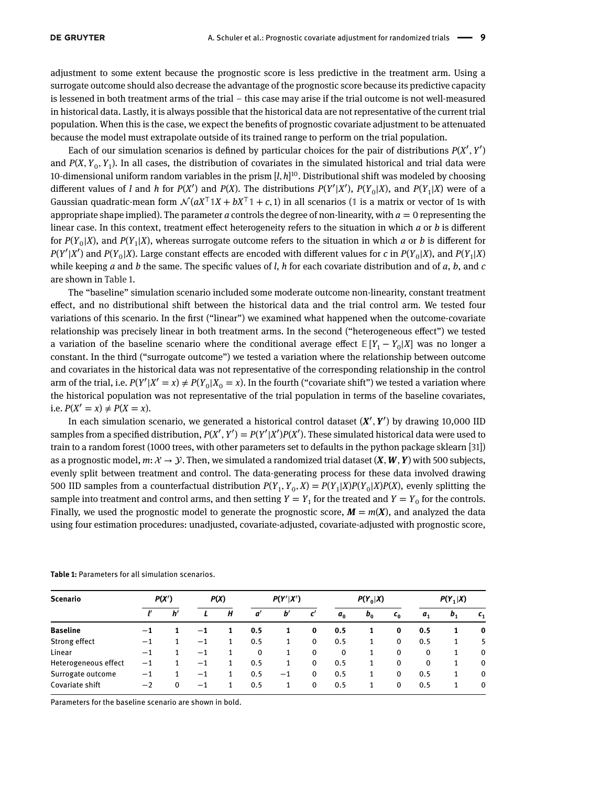adjustment to some extent because the prognostic score is less predictive in the treatment arm. Using a surrogate outcome should also decrease the advantage of the prognostic score because its predictive capacity is lessened in both treatment arms of the trial – this case may arise if the trial outcome is not well-measured in historical data. Lastly, it is always possible that the historical data are not representative of the current trial population. When this is the case, we expect the benefits of prognostic covariate adjustment to be attenuated because the model must extrapolate outside of its trained range to perform on the trial population.

Each of our simulation scenarios is defined by particular choices for the pair of distributions  $P(X', Y')$ and  $P(X, Y_0, Y_1)$ . In all cases, the distribution of covariates in the simulated historical and trial data were 10-dimensional uniform random variables in the prism [*l, <sup>h</sup>*] 10. Distributional shift was modeled by choosing different values of *l* and *h* for *P*(*X'*) and *P*(*X*). The distributions *P*(*Y'*|*X'*), *P*(*Y<sub>0</sub>|<i>X*), and *P*(*Y<sub>1</sub>*|*X*) were of a Gaussian quadratic-mean form  $\mathcal{N}(aX^\top X + bX^\top Y + c, 1)$  in all scenarios (1 is a matrix or vector of 1s with appropriate shape implied). The parameter *a* controls the degree of non-linearity, with  $a = 0$  representing the linear case. In this context, treatment effect heterogeneity refers to the situation in which *a* or *b* is different for  $P(Y_0|X)$ , and  $P(Y_1|X)$ , whereas surrogate outcome refers to the situation in which *a* or *b* is different for  $P(Y'|X')$  and  $P(Y_0|X)$ . Large constant effects are encoded with different values for *c* in  $P(Y_0|X)$ , and  $P(Y_1|X)$ while keeping *a* and *b* the same. The specific values of *l*, *h* for each covariate distribution and of *a*, *b*, and *c* are shown in [Table 1.](#page-8-0)

The "baseline" simulation scenario included some moderate outcome non-linearity, constant treatment effect, and no distributional shift between the historical data and the trial control arm. We tested four variations of this scenario. In the first ("linear") we examined what happened when the outcome-covariate relationship was precisely linear in both treatment arms. In the second ("heterogeneous effect") we tested a variation of the baseline scenario where the conditional average effect  $\mathbb{E}[Y_1 - Y_0|X]$  was no longer a constant. In the third ("surrogate outcome") we tested a variation where the relationship between outcome and covariates in the historical data was not representative of the corresponding relationship in the control arm of the trial, i.e.  $P(Y'|X'=x) \neq P(Y_0|X_0=x)$ . In the fourth ("covariate shift") we tested a variation where the historical population was not representative of the trial population in terms of the baseline covariates, i.e.  $P(X' = x) \neq P(X = x)$ .

In each simulation scenario, we generated a historical control dataset (*X*′ *, Y*′ ) by drawing 10,000 IID samples from a specified distribution,  $P(X', Y') = P(Y'|X')P(X')$ . These simulated historical data were used to train to a random forest (1000 trees, with other parameters set to defaults in the python package sklearn [\[31\]](#page-26-19)) as a prognostic model,  $m: \mathcal{X} \to \mathcal{Y}$ . Then, we simulated a randomized trial dataset  $(X, W, Y)$  with 500 subjects, evenly split between treatment and control. The data-generating process for these data involved drawing 500 IID samples from a counterfactual distribution  $P(Y_1, Y_0, X) = P(Y_1|X)P(Y_0|X)P(X)$ , evenly splitting the sample into treatment and control arms, and then setting  $Y = Y_1$  for the treated and  $Y = Y_0$  for the controls. Finally, we used the prognostic model to generate the prognostic score,  $M = m(X)$ , and analyzed the data using four estimation procedures: unadjusted, covariate-adjusted, covariate-adjusted with prognostic score,

| <b>Scenario</b>      | P(X') |    | P(X) |   | P(Y' X')     |              | $P(Y_0 X)$      |             | $P(Y_1 X)$ |         |                |         |             |
|----------------------|-------|----|------|---|--------------|--------------|-----------------|-------------|------------|---------|----------------|---------|-------------|
|                      |       | h' |      | Н | a'           | $b^{\prime}$ | $\mathfrak{c}'$ | $a_{0}$     | $b_{0}$    | $c_{0}$ | a <sub>1</sub> | $b_{1}$ | $c_{1}$     |
| <b>Baseline</b>      | -1    |    | $-1$ |   | 0.5          |              | 0               | 0.5         |            | 0       | 0.5            | 1       | $\bf{0}$    |
| Strong effect        | —1    |    | $-1$ |   | 0.5          | 1            | 0               | 0.5         | 1          | 0       | 0.5            | 1       | 5           |
| Linear               | $-1$  |    | $-1$ |   | $\mathbf{0}$ | 1            | 0               | $\mathbf 0$ | 1          | 0       | 0              | 1       | $\mathbf 0$ |
| Heterogeneous effect | $-1$  |    | $-1$ |   | 0.5          | 1            | 0               | 0.5         |            | 0       | 0              | 1       | $\mathbf 0$ |
| Surrogate outcome    | $-1$  |    | $-1$ |   | 0.5          | $-1$         | 0               | 0.5         |            | 0       | 0.5            | 1       | $\mathbf 0$ |
| Covariate shift      | $-2$  | 0  | $-1$ |   | 0.5          | 1            | 0               | 0.5         | 1          | 0       | 0.5            | 1       | $\mathbf 0$ |

<span id="page-8-0"></span>**Table 1:** Parameters for all simulation scenarios.

Parameters for the baseline scenario are shown in bold.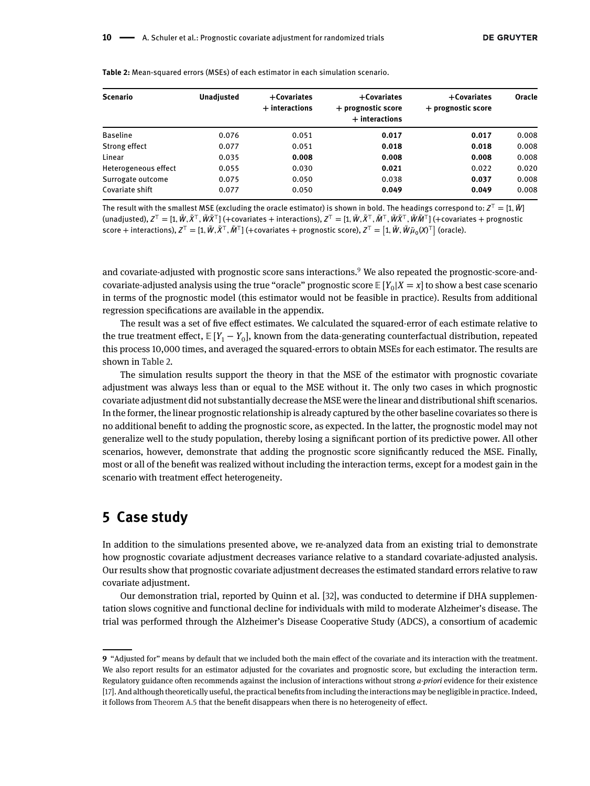| <b>Scenario</b>      | <b>Unadjusted</b> | $+$ Covariates<br>$+$ interactions | $+$ Covariates<br>+ prognostic score<br>$+$ interactions | $+$ Covariates<br>+ prognostic score | Oracle |
|----------------------|-------------------|------------------------------------|----------------------------------------------------------|--------------------------------------|--------|
| <b>Baseline</b>      | 0.076             | 0.051                              | 0.017                                                    | 0.017                                | 0.008  |
| Strong effect        | 0.077             | 0.051                              | 0.018                                                    | 0.018                                | 0.008  |
| Linear               | 0.035             | 0.008                              | 0.008                                                    | 0.008                                | 0.008  |
| Heterogeneous effect | 0.055             | 0.030                              | 0.021                                                    | 0.022                                | 0.020  |
| Surrogate outcome    | 0.075             | 0.050                              | 0.038                                                    | 0.037                                | 0.008  |
| Covariate shift      | 0.077             | 0.050                              | 0.049                                                    | 0.049                                | 0.008  |

<span id="page-9-1"></span>**Table 2:** Mean-squared errors (MSEs) of each estimator in each simulation scenario.

The result with the smallest MSE (excluding the oracle estimator) is shown in bold. The headings correspond to: *<sup>Z</sup><sup>⊤</sup>* <sup>=</sup> [1*, <sup>W</sup>̃* ] (unadjusted),  $Z^T = [1, \tilde{W}, \tilde{X}^T, \tilde{W}\tilde{X}^T]$  (+covariates + interactions),  $Z^T = [1, \tilde{W}, \tilde{X}^T, \tilde{W}^T, \tilde{W}\tilde{X}^T]$  (+covariates + prognostic consequence + interactions),  $Z^T = [1, W, X^T, W^T]$  (+covariates + meractions),  $Z^T = [1, W, X^T, W^T, W^T]$  (+covariates + prognostic score),  $Z^T = [1, \tilde{W}, \tilde{W}\tilde{\mu}_0(X)^T]$  (oracle).

and covariate-adjusted with prognostic score sans interactions.[9](#page-9-0) We also repeated the prognostic-score-andcovariate-adjusted analysis using the true "oracle" prognostic score  $E[Y_0|X=x]$  to show a best case scenario in terms of the prognostic model (this estimator would not be feasible in practice). Results from additional regression specifications are available in the appendix.

The result was a set of five effect estimates. We calculated the squared-error of each estimate relative to the true treatment effect,  $E[Y_1 - Y_0]$ , known from the data-generating counterfactual distribution, repeated this process 10,000 times, and averaged the squared-errors to obtain MSEs for each estimator. The results are shown in [Table 2.](#page-9-1)

The simulation results support the theory in that the MSE of the estimator with prognostic covariate adjustment was always less than or equal to the MSE without it. The only two cases in which prognostic covariate adjustment did not substantially decrease the MSE were the linear and distributional shift scenarios. In the former, the linear prognostic relationship is already captured by the other baseline covariates so there is no additional benefit to adding the prognostic score, as expected. In the latter, the prognostic model may not generalize well to the study population, thereby losing a significant portion of its predictive power. All other scenarios, however, demonstrate that adding the prognostic score significantly reduced the MSE. Finally, most or all of the benefit was realized without including the interaction terms, except for a modest gain in the scenario with treatment effect heterogeneity.

## **5 Case study**

In addition to the simulations presented above, we re-analyzed data from an existing trial to demonstrate how prognostic covariate adjustment decreases variance relative to a standard covariate-adjusted analysis. Our results show that prognostic covariate adjustment decreases the estimated standard errors relative to raw covariate adjustment.

Our demonstration trial, reported by Quinn et al. [\[32\]](#page-26-20), was conducted to determine if DHA supplementation slows cognitive and functional decline for individuals with mild to moderate Alzheimer's disease. The trial was performed through the Alzheimer's Disease Cooperative Study (ADCS), a consortium of academic

<span id="page-9-0"></span>**<sup>9</sup>** "Adjusted for" means by default that we included both the main effect of the covariate and its interaction with the treatment. We also report results for an estimator adjusted for the covariates and prognostic score, but excluding the interaction term. Regulatory guidance often recommends against the inclusion of interactions without strong *a-priori* evidence for their existence [\[17\]](#page-26-6). And although theoretically useful, the practical benefits from including the interactions may be negligible in practice. Indeed, it follows from [Theorem A.5](#page-17-0) that the benefit disappears when there is no heterogeneity of effect.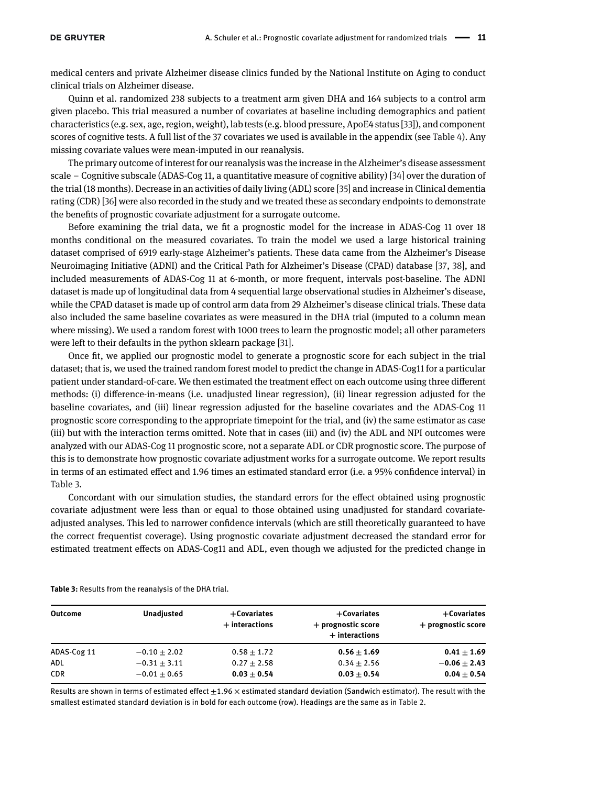medical centers and private Alzheimer disease clinics funded by the National Institute on Aging to conduct clinical trials on Alzheimer disease.

Quinn et al. randomized 238 subjects to a treatment arm given DHA and 164 subjects to a control arm given placebo. This trial measured a number of covariates at baseline including demographics and patient characteristics (e.g. sex, age, region, weight), lab tests (e.g. blood pressure, ApoE4 status [\[33\]](#page-26-21)), and component scores of cognitive tests. A full list of the 37 covariates we used is available in the appendix (see [Table 4\)](#page-25-4). Any missing covariate values were mean-imputed in our reanalysis.

The primary outcome of interest for our reanalysis was the increase in the Alzheimer's disease assessment scale – Cognitive subscale (ADAS-Cog 11, a quantitative measure of cognitive ability) [\[34\]](#page-26-22) over the duration of the trial (18 months). Decrease in an activities of daily living (ADL) score [\[35\]](#page-26-23) and increase in Clinical dementia rating (CDR) [\[36\]](#page-26-24) were also recorded in the study and we treated these as secondary endpoints to demonstrate the benefits of prognostic covariate adjustment for a surrogate outcome.

Before examining the trial data, we fit a prognostic model for the increase in ADAS-Cog 11 over 18 months conditional on the measured covariates. To train the model we used a large historical training dataset comprised of 6919 early-stage Alzheimer's patients. These data came from the Alzheimer's Disease Neuroimaging Initiative (ADNI) and the Critical Path for Alzheimer's Disease (CPAD) database [\[37,](#page-26-25) [38\]](#page-26-26), and included measurements of ADAS-Cog 11 at 6-month, or more frequent, intervals post-baseline. The ADNI dataset is made up of longitudinal data from 4 sequential large observational studies in Alzheimer's disease, while the CPAD dataset is made up of control arm data from 29 Alzheimer's disease clinical trials. These data also included the same baseline covariates as were measured in the DHA trial (imputed to a column mean where missing). We used a random forest with 1000 trees to learn the prognostic model; all other parameters were left to their defaults in the python sklearn package [\[31\]](#page-26-19).

Once fit, we applied our prognostic model to generate a prognostic score for each subject in the trial dataset; that is, we used the trained random forest model to predict the change in ADAS-Cog11 for a particular patient under standard-of-care. We then estimated the treatment effect on each outcome using three different methods: (i) difference-in-means (i.e. unadjusted linear regression), (ii) linear regression adjusted for the baseline covariates, and (iii) linear regression adjusted for the baseline covariates and the ADAS-Cog 11 prognostic score corresponding to the appropriate timepoint for the trial, and (iv) the same estimator as case (iii) but with the interaction terms omitted. Note that in cases (iii) and (iv) the ADL and NPI outcomes were analyzed with our ADAS-Cog 11 prognostic score, not a separate ADL or CDR prognostic score. The purpose of this is to demonstrate how prognostic covariate adjustment works for a surrogate outcome. We report results in terms of an estimated effect and 1.96 times an estimated standard error (i.e. a 95% confidence interval) in [Table 3.](#page-10-0)

Concordant with our simulation studies, the standard errors for the effect obtained using prognostic covariate adjustment were less than or equal to those obtained using unadjusted for standard covariateadjusted analyses. This led to narrower confidence intervals (which are still theoretically guaranteed to have the correct frequentist coverage). Using prognostic covariate adjustment decreased the standard error for estimated treatment effects on ADAS-Cog11 and ADL, even though we adjusted for the predicted change in

| <b>Outcome</b> | <b>Unadjusted</b> | $+$ Covariates<br>$+$ interactions | $+$ Covariates<br>+ prognostic score<br>$+$ interactions | $+$ Covariates<br>+ prognostic score |
|----------------|-------------------|------------------------------------|----------------------------------------------------------|--------------------------------------|
| ADAS-Cog 11    | $-0.10 + 2.02$    | $0.58 \pm 1.72$                    | $0.56 \pm 1.69$                                          | $0.41 \pm 1.69$                      |
| ADL            | $-0.31 \pm 3.11$  | $0.27 \pm 2.58$                    | $0.34 \pm 2.56$                                          | $-0.06 + 2.43$                       |
| <b>CDR</b>     | $-0.01 \pm 0.65$  | $0.03 \pm 0.54$                    | $0.03 \pm 0.54$                                          | $0.04 \pm 0.54$                      |

<span id="page-10-0"></span>**Table 3:** Results from the reanalysis of the DHA trial.

Results are shown in terms of estimated effect  $\pm 1.96 \times$  estimated standard deviation (Sandwich estimator). The result with the smallest estimated standard deviation is in bold for each outcome (row). Headings are the same as in [Table 2.](#page-9-1)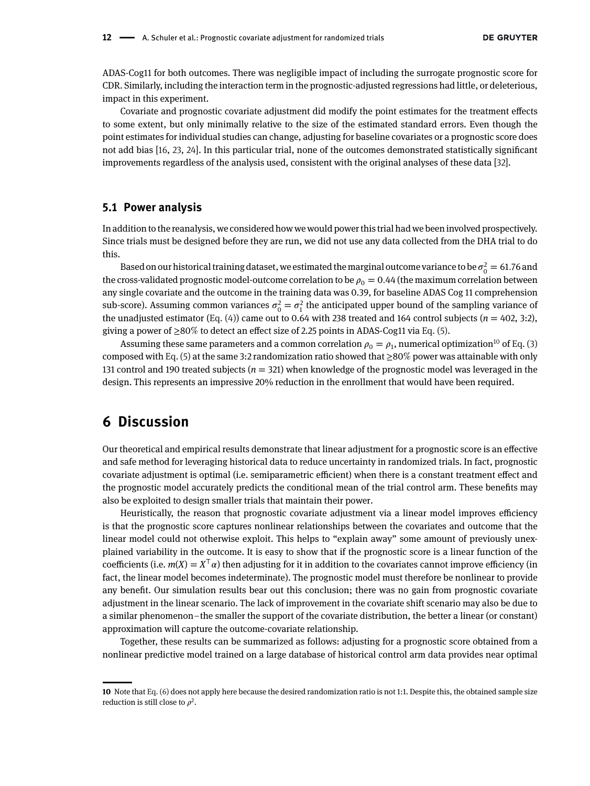ADAS-Cog11 for both outcomes. There was negligible impact of including the surrogate prognostic score for CDR. Similarly, including the interaction term in the prognostic-adjusted regressions had little, or deleterious, impact in this experiment.

Covariate and prognostic covariate adjustment did modify the point estimates for the treatment effects to some extent, but only minimally relative to the size of the estimated standard errors. Even though the point estimates for individual studies can change, adjusting for baseline covariates or a prognostic score does not add bias [\[16,](#page-26-5) [23,](#page-26-13) [24\]](#page-26-14). In this particular trial, none of the outcomes demonstrated statistically significant improvements regardless of the analysis used, consistent with the original analyses of these data [\[32\]](#page-26-20).

#### **5.1 Power analysis**

In addition to the reanalysis, we considered how we would power this trial had we been involved prospectively. Since trials must be designed before they are run, we did not use any data collected from the DHA trial to do this.

Based on our historical training dataset, we estimated the marginal outcome variance to be  $\sigma_0^2 = 61.76$  and the cross-validated prognostic model-outcome correlation to be  $\rho_0 = 0.44$  (the maximum correlation between any single covariate and the outcome in the training data was 0.39, for baseline ADAS Cog 11 comprehension sub-score). Assuming common variances  $\sigma_0^2 = \sigma_1^2$  the anticipated upper bound of the sampling variance of the unadjusted estimator (Eq.  $(4)$ ) came out to 0.64 with 238 treated and 164 control subjects ( $n = 402, 3:2$ ), giving a power of  $\geq 80\%$  to detect an effect size of 2.25 points in ADAS-Cog11 via [Eq. \(5\).](#page-6-3)

Assuming these same parameters and a common correlation  $\rho_0 = \rho_1$ , numerical optimization<sup>10</sup> of [Eq. \(3\)](#page-6-1) composed with [Eq. \(5\)](#page-6-3) at the same 3:2 randomization ratio showed that ≥80% power was attainable with only 131 control and 190 treated subjects  $(n = 321)$  when knowledge of the prognostic model was leveraged in the design. This represents an impressive 20% reduction in the enrollment that would have been required.

# **6 Discussion**

Our theoretical and empirical results demonstrate that linear adjustment for a prognostic score is an effective and safe method for leveraging historical data to reduce uncertainty in randomized trials. In fact, prognostic covariate adjustment is optimal (i.e. semiparametric efficient) when there is a constant treatment effect and the prognostic model accurately predicts the conditional mean of the trial control arm. These benefits may also be exploited to design smaller trials that maintain their power.

Heuristically, the reason that prognostic covariate adjustment via a linear model improves efficiency is that the prognostic score captures nonlinear relationships between the covariates and outcome that the linear model could not otherwise exploit. This helps to "explain away" some amount of previously unexplained variability in the outcome. It is easy to show that if the prognostic score is a linear function of the coefficients (i.e.  $m(X) = X^T \alpha$ ) then adjusting for it in addition to the covariates cannot improve efficiency (in fact, the linear model becomes indeterminate). The prognostic model must therefore be nonlinear to provide any benefit. Our simulation results bear out this conclusion; there was no gain from prognostic covariate adjustment in the linear scenario. The lack of improvement in the covariate shift scenario may also be due to a similar phenomenon–the smaller the support of the covariate distribution, the better a linear (or constant) approximation will capture the outcome-covariate relationship.

Together, these results can be summarized as follows: adjusting for a prognostic score obtained from a nonlinear predictive model trained on a large database of historical control arm data provides near optimal

<span id="page-11-0"></span>**<sup>10</sup>** Note that [Eq. \(6\)](#page-7-1) does not apply here because the desired randomization ratio is not 1:1. Despite this, the obtained sample size reduction is still close to  $\rho^2$ .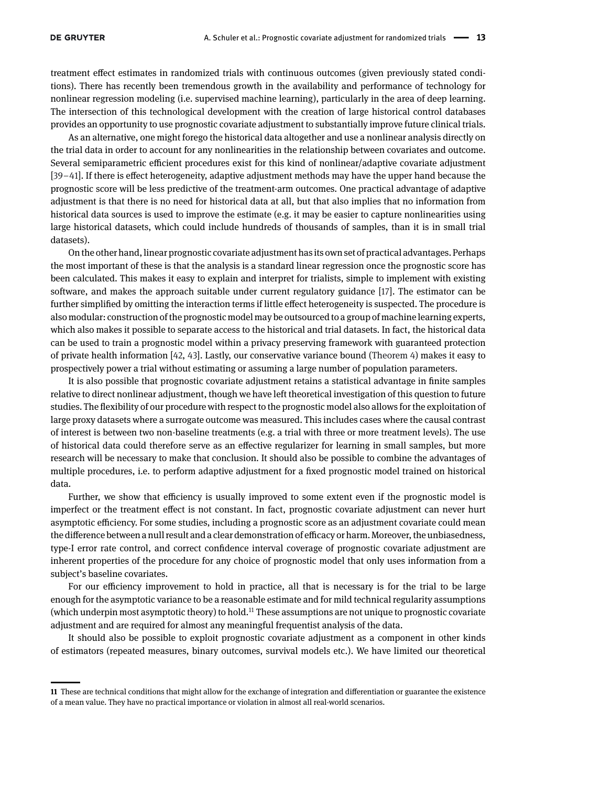treatment effect estimates in randomized trials with continuous outcomes (given previously stated conditions). There has recently been tremendous growth in the availability and performance of technology for nonlinear regression modeling (i.e. supervised machine learning), particularly in the area of deep learning. The intersection of this technological development with the creation of large historical control databases provides an opportunity to use prognostic covariate adjustment to substantially improve future clinical trials.

As an alternative, one might forego the historical data altogether and use a nonlinear analysis directly on the trial data in order to account for any nonlinearities in the relationship between covariates and outcome. Several semiparametric efficient procedures exist for this kind of nonlinear/adaptive covariate adjustment [\[39](#page-26-27)[–41\]](#page-27-3). If there is effect heterogeneity, adaptive adjustment methods may have the upper hand because the prognostic score will be less predictive of the treatment-arm outcomes. One practical advantage of adaptive adjustment is that there is no need for historical data at all, but that also implies that no information from historical data sources is used to improve the estimate (e.g. it may be easier to capture nonlinearities using large historical datasets, which could include hundreds of thousands of samples, than it is in small trial datasets).

On the other hand,linear prognostic covariate adjustment hasits own set of practical advantages. Perhaps the most important of these is that the analysis is a standard linear regression once the prognostic score has been calculated. This makes it easy to explain and interpret for trialists, simple to implement with existing software, and makes the approach suitable under current regulatory guidance [\[17\]](#page-26-6). The estimator can be further simplified by omitting the interaction terms if little effect heterogeneity is suspected. The procedure is also modular: construction of the prognostic model may be outsourced to a group of machine learning experts, which also makes it possible to separate access to the historical and trial datasets. In fact, the historical data can be used to train a prognostic model within a privacy preserving framework with guaranteed protection of private health information [\[42,](#page-27-4) [43\]](#page-27-5). Lastly, our conservative variance bound [\(Theorem 4\)](#page-6-0) makes it easy to prospectively power a trial without estimating or assuming a large number of population parameters.

It is also possible that prognostic covariate adjustment retains a statistical advantage in finite samples relative to direct nonlinear adjustment, though we have left theoretical investigation of this question to future studies. The flexibility of our procedure with respect to the prognostic model also allows for the exploitation of large proxy datasets where a surrogate outcome was measured. This includes cases where the causal contrast of interest is between two non-baseline treatments (e.g. a trial with three or more treatment levels). The use of historical data could therefore serve as an effective regularizer for learning in small samples, but more research will be necessary to make that conclusion. It should also be possible to combine the advantages of multiple procedures, i.e. to perform adaptive adjustment for a fixed prognostic model trained on historical data.

Further, we show that efficiency is usually improved to some extent even if the prognostic model is imperfect or the treatment effect is not constant. In fact, prognostic covariate adjustment can never hurt asymptotic efficiency. For some studies, including a prognostic score as an adjustment covariate could mean the difference between a null result and a clear demonstration of efficacy or harm. Moreover, the unbiasedness, type-I error rate control, and correct confidence interval coverage of prognostic covariate adjustment are inherent properties of the procedure for any choice of prognostic model that only uses information from a subject's baseline covariates.

For our efficiency improvement to hold in practice, all that is necessary is for the trial to be large enough for the asymptotic variance to be a reasonable estimate and for mild technical regularity assumptions (which underpin most asymptotic theory) to hold.[11](#page-12-0) These assumptions are not unique to prognostic covariate adjustment and are required for almost any meaningful frequentist analysis of the data.

It should also be possible to exploit prognostic covariate adjustment as a component in other kinds of estimators (repeated measures, binary outcomes, survival models etc.). We have limited our theoretical

<span id="page-12-0"></span>**<sup>11</sup>** These are technical conditions that might allow for the exchange of integration and differentiation or guarantee the existence of a mean value. They have no practical importance or violation in almost all real-world scenarios.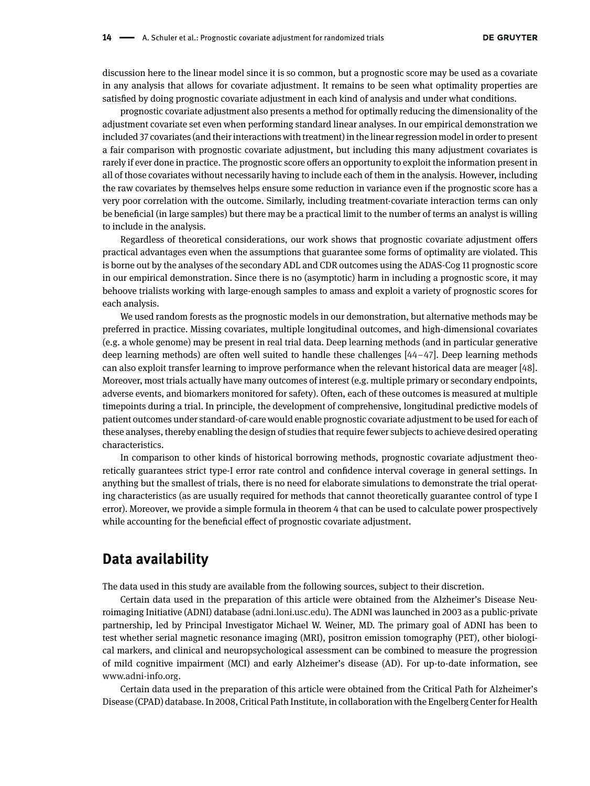discussion here to the linear model since it is so common, but a prognostic score may be used as a covariate in any analysis that allows for covariate adjustment. It remains to be seen what optimality properties are satisfied by doing prognostic covariate adjustment in each kind of analysis and under what conditions.

prognostic covariate adjustment also presents a method for optimally reducing the dimensionality of the adjustment covariate set even when performing standard linear analyses. In our empirical demonstration we included 37 covariates (and their interactions with treatment) in the linear regression model in order to present a fair comparison with prognostic covariate adjustment, but including this many adjustment covariates is rarely if ever done in practice. The prognostic score offers an opportunity to exploit the information present in all of those covariates without necessarily having to include each of them in the analysis. However, including the raw covariates by themselves helps ensure some reduction in variance even if the prognostic score has a very poor correlation with the outcome. Similarly, including treatment-covariate interaction terms can only be beneficial (in large samples) but there may be a practical limit to the number of terms an analyst is willing to include in the analysis.

Regardless of theoretical considerations, our work shows that prognostic covariate adjustment offers practical advantages even when the assumptions that guarantee some forms of optimality are violated. This is borne out by the analyses of the secondary ADL and CDR outcomes using the ADAS-Cog 11 prognostic score in our empirical demonstration. Since there is no (asymptotic) harm in including a prognostic score, it may behoove trialists working with large-enough samples to amass and exploit a variety of prognostic scores for each analysis.

We used random forests as the prognostic models in our demonstration, but alternative methods may be preferred in practice. Missing covariates, multiple longitudinal outcomes, and high-dimensional covariates (e.g. a whole genome) may be present in real trial data. Deep learning methods (and in particular generative deep learning methods) are often well suited to handle these challenges [\[44](#page-27-6)[–47\]](#page-27-7). Deep learning methods can also exploit transfer learning to improve performance when the relevant historical data are meager [\[48\]](#page-27-8). Moreover, most trials actually have many outcomes of interest (e.g. multiple primary or secondary endpoints, adverse events, and biomarkers monitored for safety). Often, each of these outcomes is measured at multiple timepoints during a trial. In principle, the development of comprehensive, longitudinal predictive models of patient outcomes under standard-of-care would enable prognostic covariate adjustment to be used for each of these analyses, thereby enabling the design of studies that require fewer subjects to achieve desired operating characteristics.

In comparison to other kinds of historical borrowing methods, prognostic covariate adjustment theoretically guarantees strict type-I error rate control and confidence interval coverage in general settings. In anything but the smallest of trials, there is no need for elaborate simulations to demonstrate the trial operating characteristics (as are usually required for methods that cannot theoretically guarantee control of type I error). Moreover, we provide a simple formula in theorem 4 that can be used to calculate power prospectively while accounting for the beneficial effect of prognostic covariate adjustment.

## **Data availability**

The data used in this study are available from the following sources, subject to their discretion.

Certain data used in the preparation of this article were obtained from the Alzheimer's Disease Neuroimaging Initiative (ADNI) database [\(adni.loni.usc.edu\)](http://adni.loni.usc.edu). The ADNI was launched in 2003 as a public-private partnership, led by Principal Investigator Michael W. Weiner, MD. The primary goal of ADNI has been to test whether serial magnetic resonance imaging (MRI), positron emission tomography (PET), other biological markers, and clinical and neuropsychological assessment can be combined to measure the progression of mild cognitive impairment (MCI) and early Alzheimer's disease (AD). For up-to-date information, see [www.adni-info.org.](http://www.adni-info.org)

Certain data used in the preparation of this article were obtained from the Critical Path for Alzheimer's Disease (CPAD) database. In 2008, Critical Path Institute, in collaboration with the Engelberg Center for Health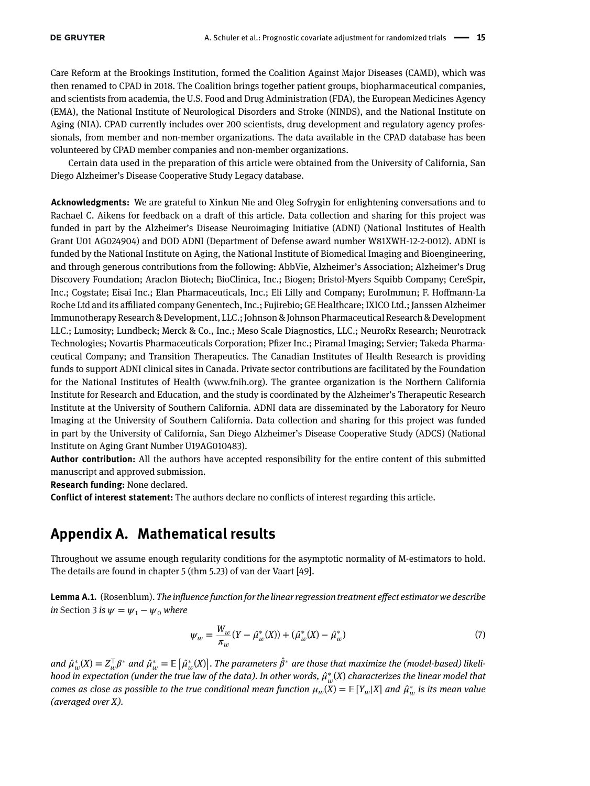Care Reform at the Brookings Institution, formed the Coalition Against Major Diseases (CAMD), which was then renamed to CPAD in 2018. The Coalition brings together patient groups, biopharmaceutical companies, and scientists from academia, the U.S. Food and Drug Administration (FDA), the European Medicines Agency (EMA), the National Institute of Neurological Disorders and Stroke (NINDS), and the National Institute on Aging (NIA). CPAD currently includes over 200 scientists, drug development and regulatory agency professionals, from member and non-member organizations. The data available in the CPAD database has been volunteered by CPAD member companies and non-member organizations.

Certain data used in the preparation of this article were obtained from the University of California, San Diego Alzheimer's Disease Cooperative Study Legacy database.

**Acknowledgments:** We are grateful to Xinkun Nie and Oleg Sofrygin for enlightening conversations and to Rachael C. Aikens for feedback on a draft of this article. Data collection and sharing for this project was funded in part by the Alzheimer's Disease Neuroimaging Initiative (ADNI) (National Institutes of Health Grant U01 AG024904) and DOD ADNI (Department of Defense award number W81XWH-12-2-0012). ADNI is funded by the National Institute on Aging, the National Institute of Biomedical Imaging and Bioengineering, and through generous contributions from the following: AbbVie, Alzheimer's Association; Alzheimer's Drug Discovery Foundation; Araclon Biotech; BioClinica, Inc.; Biogen; Bristol-Myers Squibb Company; CereSpir, Inc.; Cogstate; Eisai Inc.; Elan Pharmaceuticals, Inc.; Eli Lilly and Company; EuroImmun; F. Hoffmann-La Roche Ltd and its affiliated company Genentech, Inc.; Fujirebio; GE Healthcare; IXICO Ltd.; Janssen Alzheimer Immunotherapy Research & Development, LLC.; Johnson & Johnson Pharmaceutical Research & Development LLC.; Lumosity; Lundbeck; Merck & Co., Inc.; Meso Scale Diagnostics, LLC.; NeuroRx Research; Neurotrack Technologies; Novartis Pharmaceuticals Corporation; Pfizer Inc.; Piramal Imaging; Servier; Takeda Pharmaceutical Company; and Transition Therapeutics. The Canadian Institutes of Health Research is providing funds to support ADNI clinical sites in Canada. Private sector contributions are facilitated by the Foundation for the National Institutes of Health [\(www.fnih.org\)](http://www.fnih.org). The grantee organization is the Northern California Institute for Research and Education, and the study is coordinated by the Alzheimer's Therapeutic Research Institute at the University of Southern California. ADNI data are disseminated by the Laboratory for Neuro Imaging at the University of Southern California. Data collection and sharing for this project was funded in part by the University of California, San Diego Alzheimer's Disease Cooperative Study (ADCS) (National Institute on Aging Grant Number U19AG010483).

**Author contribution:** All the authors have accepted responsibility for the entire content of this submitted manuscript and approved submission.

**Research funding:** None declared.

**Conflict of interest statement:** The authors declare no conflicts of interest regarding this article.

# **Appendix A. Mathematical results**

Throughout we assume enough regularity conditions for the asymptotic normality of M-estimators to hold. The details are found in chapter 5 (thm 5.23) of van der Vaart [\[49\]](#page-27-9).

<span id="page-14-0"></span>**Lemma A.1.** (Rosenblum). *The influence function for the linear regression treatment effect estimator we describe in* [Section 3](#page-3-0) *is*  $\psi = \psi_1 - \psi_0$  *where* 

<span id="page-14-1"></span>
$$
\psi_w = \frac{W_w}{\pi_w} (Y - \hat{\mu}_w^*(X)) + (\hat{\mu}_w^*(X) - \hat{\mu}_w^*)
$$
\n(7)

*and*  $\hat{\mu}^*_{w}(X) = Z_w^{\mathsf{T}} \beta^*$  *and*  $\hat{\mu}^*_{w} = \mathbb{E}$  $\left[\hat{\mu}_{w}^{*}(X)\right]$  $\int$ . The parameters  $\hat{\beta}^*$  are those that maximize the (model-based) likeli*hood in expectation (under the true law of the data). In other words, ̂*<sup>∗</sup> (*X*) *characterizes the linear model that comes as close as possible to the true conditional mean function*  $\mu_w(X) = \mathbb{E}[Y_w|X]$  and  $\hat{\mu}_w^*$  is its mean value *(averaged over X).*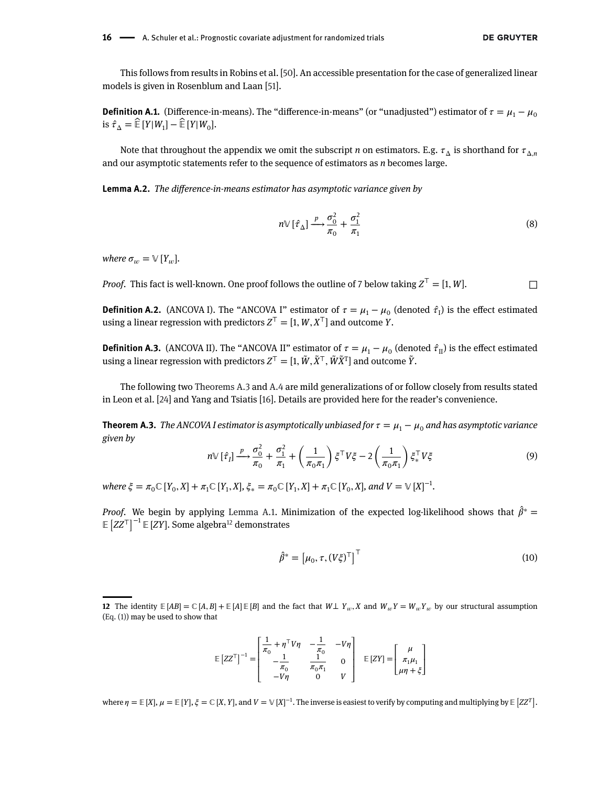This follows from results in Robins et al. [\[50\]](#page-27-10). An accessible presentation for the case of generalized linear models is given in Rosenblum and Laan [\[51\]](#page-27-1).

<span id="page-15-0"></span>**Definition A.1.** (Difference-in-means). The "difference-in-means" (or "unadjusted") estimator of  $\tau = \mu_1 - \mu_0$ is  $\hat{\tau}_{\Lambda} = \hat{\mathbb{E}} [Y | W_1] - \hat{\mathbb{E}} [Y | W_0].$ 

Note that throughout the appendix we omit the subscript *n* on estimators. E.g.  $\tau_{\Delta}$  is shorthand for  $\tau_{\Delta}$ *n* and our asymptotic statements refer to the sequence of estimators as *n* becomes large.

**Lemma A.2.** *The difference-in-means estimator has asymptotic variance given by*

$$
n \mathbb{V} \left[ \hat{\tau}_{\Delta} \right] \xrightarrow{p} \frac{\sigma_0^2}{\pi_0} + \frac{\sigma_1^2}{\pi_1} \tag{8}
$$

*where*  $\sigma_w = V[Y_w]$ *.* 

*Proof.* This fact is well-known. One proof follows the outline of 7 below taking  $Z^T = [1, W]$ .

**Definition A.2.** (ANCOVA I). The "ANCOVA I" estimator of  $\tau = \mu_1 - \mu_0$  (denoted  $\hat{\tau}_1$ ) is the effect estimated using a linear regression with predictors  $Z^T = [1, W, X^T]$  and outcome *Y*.

**Definition A.3.** (ANCOVA II). The "ANCOVA II" estimator of  $\tau = \mu_1 - \mu_0$  (denoted  $\hat{\tau}_{II}$ ) is the effect estimated using a linear regression with predictors  $Z^T = [1, \tilde{W}, \tilde{X}^T, \tilde{W}\tilde{X}^T]$  and outcome  $\tilde{Y}$ .

The following two [Theorems A.3](#page-15-1) and [A.4](#page-17-2) are mild generalizations of or follow closely from results stated in Leon et al. [\[24\]](#page-26-14) and Yang and Tsiatis [\[16\]](#page-26-5). Details are provided here for the reader's convenience.

<span id="page-15-2"></span><span id="page-15-1"></span>**Theorem A.3.** *The ANCOVA I estimator is asymptotically unbiased for*  $\tau = \mu_1 - \mu_0$  *and has asymptotic variance given by*  $\mathbf{r}$  $\mathbf{r}$ 

$$
n \triangledown [\hat{\tau}_I] \xrightarrow{p} \frac{\sigma_0^2}{\pi_0} + \frac{\sigma_1^2}{\pi_1} + \left(\frac{1}{\pi_0 \pi_1}\right) \xi^\top V \xi - 2 \left(\frac{1}{\pi_0 \pi_1}\right) \xi_*^\top V \xi \tag{9}
$$

 $where \xi = \pi_0 \mathbb{C} [Y_0, X] + \pi_1 \mathbb{C} [Y_1, X], \xi_* = \pi_0 \mathbb{C} [Y_1, X] + \pi_1 \mathbb{C} [Y_0, X], and V = \mathbb{V} [X]^{-1}.$ 

*Proof.* We begin by applying [Lemma A.1.](#page-14-0) Minimization of the expected log-likelihood shows that  $\hat{\beta}^* =$ *Z*<sup>*r*</sup></sup> *Z*<sup>*T*</sup> <sup>1</sup> <sup>*Z*</sup> *E ZZ<sup>T</sup>* <sup>1</sup> <sup>*E*</sup> *E ZZ<sup>T</sup>* <sup>1</sup> *E ZZ<sup>T</sup> I E ZZ<sup>T</sup> I E ZZT*<sup>*I*</sup> *E ZZT*<sup>*I*</sup> *E ZZT*<sup>*I*</sup> *E ZZT*<sup>*I*</sup> *E ZZT*<sup>*I*</sup> *E ZZT*<sup>*I*</sup> *E ZZT*<sub>*1*</sub> *D A D ZD*</sup>

$$
\hat{\beta}^* = \left[ \mu_0, \tau, (V\xi)^\top \right]^\top \tag{10}
$$

$$
\mathbb{E}\left[ZZ^{\top}\right]^{-1} = \begin{bmatrix} \frac{1}{\pi_0} + \eta^{\top} V \eta & -\frac{1}{\pi_0} & -V\eta \\ -\frac{1}{\pi_0} & \frac{1}{\pi_0 \pi_1} & 0 \\ -V\eta & 0 & V \end{bmatrix} \quad \mathbb{E}\left[ZY\right] = \begin{bmatrix} \mu \\ \pi_1 \mu_1 \\ \mu \eta + \xi \end{bmatrix}
$$

where  $\eta = \mathbb{E}[X], \mu = \mathbb{E}[Y], \xi = \mathbb{C}[X, Y],$  and  $V = \mathbb{V}[X]^{-1}$ . The inverse is easiest to verify by computing and multiplying by  $\mathbb{E}[ZZ^T]$ .

**<sup>12</sup>** The identity  $E[AB] = C[A,B] + E[A]E[B]$  and the fact that  $W\perp Y_w, X$  and  $W_wY = W_wY_w$  by our structural assumption [\(Eq. \(1\)\)](#page-2-0) may be used to show that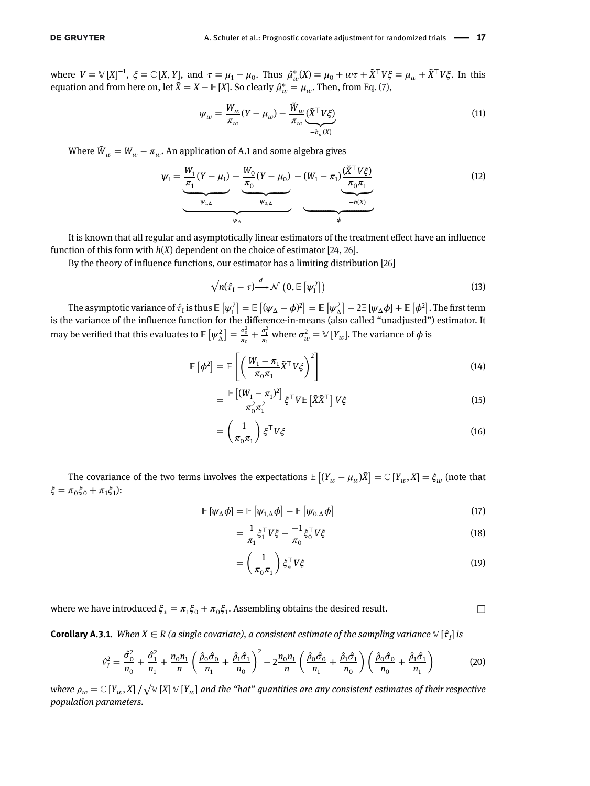where  $V = V [X]^{-1}$ ,  $\xi = \mathbb{C} [X, Y]$ , and  $\tau = \mu_1 - \mu_0$ . Thus  $\hat{\mu}_w^*(X) = \mu_0 + w\tau + \tilde{X}^\top V \xi = \mu_w + \tilde{X}^\top V \xi$ . In this equation and from here on, let  $\tilde{X} = X - \mathbb{E}[X]$ . So clearly  $\hat{\mu}^*_{w} = \mu_w$ . Then, from [Eq. \(7\),](#page-14-1)

<span id="page-16-0"></span>
$$
\psi_w = \frac{W_w}{\pi_w} (Y - \mu_w) - \frac{\tilde{W}_w}{\pi_w} \underbrace{(\tilde{X}^\top V \xi)}_{-h_w(X)} \tag{11}
$$

Where  $\tilde{W}_w = W_w - \pi_w$ . An application of A.1 and some algebra gives

$$
\psi_{I} = \underbrace{\underbrace{\frac{W_{1}}{\pi_{1}}(Y-\mu_{1})}_{\psi_{1,\Delta}} - \underbrace{\frac{W_{0}}{\pi_{0}}(Y-\mu_{0})}_{\psi_{0,\Delta}} - (W_{1}-\pi_{1}) \underbrace{\frac{(\tilde{X}^{T}V\xi)}{\pi_{0}\pi_{1}}}_{-\hbar(X)}
$$
(12)

It is known that all regular and asymptotically linear estimators of the treatment effect have an influence function of this form with  $h(X)$  dependent on the choice of estimator [\[24,](#page-26-14) [26\]](#page-26-16).

By the theory of influence functions, our estimator has a limiting distribution [\[26\]](#page-26-16)

$$
\sqrt{n}(\hat{\tau}_1 - \tau) \xrightarrow{d} \mathcal{N} \left(0, \mathbb{E}\left[\psi_1^2\right]\right)
$$
\n(13)

The asymptotic variance of  $\hat{\tau}_{\text{I}}$  is thus  $\mathbb E$  $[\psi_{\rm I}^2]$  $=$   $E$  $(\psi_{\Delta} - \phi)^2$  $=$   $E$  $[\psi_{\Delta}^2]$  $-2\mathbb{E}[\psi_{\Delta}\phi]+\mathbb{E}$  $\left[ \phi^2 \right]$ . The first term is the variance of the influence function for the difference-in-means (also called "unadjusted") estimator. It may be verified that this evaluates to  $\mathbb{E}\left[\psi_\Delta^2\right]=\frac{\sigma_0^2}{\pi_0}$  $\frac{\sigma_0^2}{\pi_0} + \frac{\sigma_1^2}{\pi_1}$  $\frac{\sigma_1^2}{\pi_1}$  where  $\sigma_w^2 = \mathbb{V}[Y_w]$ . The variance of  $\phi$  is

$$
\mathbb{E}\left[\phi^2\right] = \mathbb{E}\left[\left(\frac{W_1 - \pi_1}{\pi_0 \pi_1} \tilde{X}^\top V \xi\right)^2\right]
$$
\n(14)

$$
= \frac{\mathbb{E}\left[ (W_1 - \pi_1)^2 \right]}{\pi_0^2 \pi_1^2} \xi^\top V \mathbb{E}\left[ \tilde{X} \tilde{X}^\top \right] V \xi \tag{15}
$$

$$
= \left(\frac{1}{\pi_0 \pi_1}\right) \xi^\top V \xi \tag{16}
$$

The covariance of the two terms involves the expectations  ${\mathbb E}$  $\overline{a}$  $(Y_w - \mu_w)\tilde{X}$ ]  $= \mathbb{C} [Y_w, X] = \xi_w$  (note that  $\xi = \pi_0 \xi_0 + \pi_1 \xi_1$ :

$$
\mathbb{E}\left[\psi_{\Delta}\phi\right] = \mathbb{E}\left[\psi_{1,\Delta}\phi\right] - \mathbb{E}\left[\psi_{0,\Delta}\phi\right] \tag{17}
$$

$$
= \frac{1}{\pi_1} \xi_1^\top V \xi - \frac{-1}{\pi_0} \xi_0^\top V \xi \tag{18}
$$

$$
= \left(\frac{1}{\pi_0 \pi_1}\right) \xi_*^{\top} V \xi \tag{19}
$$

where we have introduced  $\xi_* = \pi_1 \xi_0 + \pi_0 \xi_1$ . Assembling obtains the desired result.  $\Box$ 

**Corollary A.3.1.** *When X*  $\in$  *R* (a single covariate), a consistent estimate of the sampling variance  $\vee$  [ $\hat{\tau}$ ] is

$$
\hat{v}_I^2 = \frac{\hat{\sigma}_0^2}{n_0} + \frac{\hat{\sigma}_1^2}{n_1} + \frac{n_0 n_1}{n} \left( \frac{\hat{\rho}_0 \hat{\sigma}_0}{n_1} + \frac{\hat{\rho}_1 \hat{\sigma}_1}{n_0} \right)^2 - 2 \frac{n_0 n_1}{n} \left( \frac{\hat{\rho}_0 \hat{\sigma}_0}{n_1} + \frac{\hat{\rho}_1 \hat{\sigma}_1}{n_0} \right) \left( \frac{\hat{\rho}_0 \hat{\sigma}_0}{n_0} + \frac{\hat{\rho}_1 \hat{\sigma}_1}{n_1} \right)
$$
(20)

*where*  $\rho_w = \mathbb{C}[Y_w, X]$  /  $\mathbb{V}\left[X\right]\mathbb{V}\left[Y_w\right]$  and the "hat" quantities are any consistent estimates of their respective *population parameters.*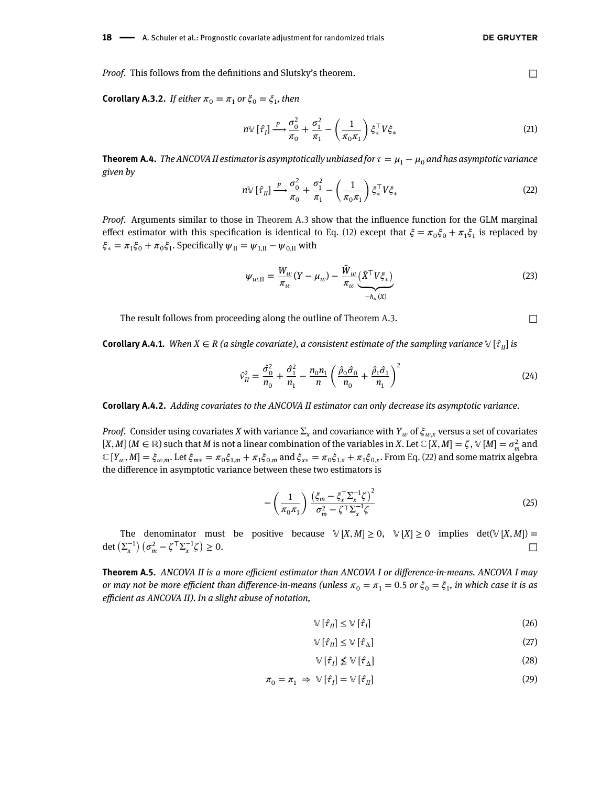*Proof.* This follows from the definitions and Slutsky's theorem. □

**Corollary A.3.2.** *If either*  $\pi_0 = \pi_1$  *or*  $\xi_0 = \xi_1$ *, then* 

$$
n \mathbb{V}\left[\hat{\tau}_I\right] \xrightarrow{\mathcal{P}} \frac{\sigma_0^2}{\pi_0} + \frac{\sigma_1^2}{\pi_1} - \left(\frac{1}{\pi_0 \pi_1}\right) \xi_*^{\top} V \xi_* \tag{21}
$$

<span id="page-17-3"></span><span id="page-17-2"></span>**Theorem A.4.** *The ANCOVA II estimator is asymptotically unbiased for*  $\tau = \mu_1 - \mu_0$  and has asymptotic variance *given by*  $\mathbf{r}$ 

$$
n \vee [\hat{\tau}_II] \xrightarrow{p} \frac{\sigma_0^2}{\pi_0} + \frac{\sigma_1^2}{\pi_1} - \left(\frac{1}{\pi_0 \pi_1}\right) \xi_*^\top V \xi_* \tag{22}
$$

*Proof.* Arguments similar to those in [Theorem A.3](#page-15-1) show that the influence function for the GLM marginal effect estimator with this specification is identical to [Eq. \(12\)](#page-16-0) except that  $\xi = \pi_0 \xi_0 + \pi_1 \xi_1$  is replaced by  $\xi_* = \pi_1 \xi_0 + \pi_0 \xi_1$ . Specifically  $\psi_{II} = \psi_{1,II} - \psi_{0,II}$  with

<span id="page-17-4"></span>
$$
\psi_{w,\mathrm{II}} = \frac{W_w}{\pi_w} (Y - \mu_w) - \frac{\tilde{W}_w}{\pi_w} \underbrace{(\tilde{X}^\top V \xi_*)}_{-\hbar_w(X)} \tag{23}
$$

The result follows from proceeding along the outline of [Theorem A.3.](#page-15-1)  $\Box$ 

**Corollary A.4.1.** *When*  $X \in R$  (a single covariate), a consistent estimate of the sampling variance  $V[\hat{\tau}_I]$  is

$$
\hat{v}_{II}^2 = \frac{\hat{\sigma}_{0}^2}{n_0} + \frac{\hat{\sigma}_{1}^2}{n_1} - \frac{n_0 n_1}{n} \left( \frac{\hat{\rho}_0 \hat{\sigma}_0}{n_0} + \frac{\hat{\rho}_1 \hat{\sigma}_1}{n_1} \right)^2
$$
\n(24)

<span id="page-17-1"></span>**Corollary A.4.2.** *Adding covariates to the ANCOVA II estimator can only decrease its asymptotic variance.*

*Proof.* Consider using covariates *X* with variance  $\Sigma_x$  and covariance with  $Y_w$  of  $\xi_{w,x}$  versus a set of covariates  $[X, M]$  ( $M \in \mathbb{R}$ ) such that  $M$  is not a linear combination of the variables in  $X$ . Let  $\mathbb{C}[X, M] = \zeta$ ,  $\mathbb{V}[M] = \sigma_m^2$  and  $\mathbb{C}[Y_{w}, M] = \xi_{w,m}$ . Let  $\xi_{m*} = \pi_0 \xi_{1,m} + \pi_1 \xi_{0,m}$  and  $\xi_{x*} = \pi_0 \xi_{1,x} + \pi_1 \xi_{0,x}$ . From [Eq. \(22\)](#page-17-3) and some matrix algebra the difference in asymptotic variance between these two estimators is

$$
-\left(\frac{1}{\pi_0 \pi_1}\right) \frac{\left(\xi_m - \xi_\chi^{\top} \Sigma_\chi^{-1} \zeta\right)^2}{\sigma_m^2 - \zeta^{\top} \Sigma_\chi^{-1} \zeta}
$$
\n(25)

The denominator must be positive because  $\mathbb{V}[X,M] \geq 0$ ,  $\mathbb{V}[X] \geq 0$  implies det $(\mathbb{V}[X,M]) =$ det  $(\Sigma_x^{-1})$   $(\sigma_m^2 - \zeta^{\top} \Sigma_x^{-1} \zeta)$  $\geq 0$ .

<span id="page-17-0"></span>**Theorem A.5.** *ANCOVA II is a more efficient estimator than ANCOVA I or difference-in-means. ANCOVA I may or may not be more efficient than difference-in-means (unless*  $\pi_0 = \pi_1 = 0.5$  *or*  $\xi_0 = \xi_1$ *, in which case it is as efficient as ANCOVA II). In a slight abuse of notation,*

$$
\mathbb{V}\left[\hat{\tau}_{II}\right] \leq \mathbb{V}\left[\hat{\tau}_{I}\right] \tag{26}
$$

$$
\mathbb{V}\left[\hat{\tau}_{II}\right] \leq \mathbb{V}\left[\hat{\tau}_{\Delta}\right] \tag{27}
$$

$$
\mathbb{V}\left[\hat{\tau}_{I}\right] \nleq \mathbb{V}\left[\hat{\tau}_{\Delta}\right] \tag{28}
$$

$$
\pi_0 = \pi_1 \Rightarrow \mathbb{V}[\hat{\tau}_I] = \mathbb{V}[\hat{\tau}_II] \tag{29}
$$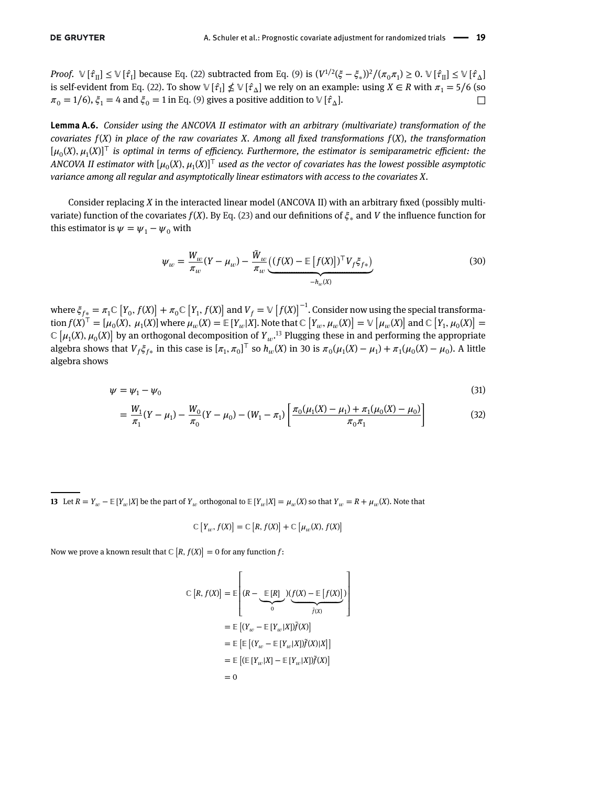*Proof.*  $\mathbb{V}[\hat{\tau}_\Pi] \leq \mathbb{V}[\hat{\tau}_\Pi]$  because [Eq. \(22\)](#page-17-3) subtracted from [Eq. \(9\)](#page-15-2) is  $(V^{1/2}(\xi - \xi_s))^2/(\pi_0 \pi_1) \geq 0$ .  $\mathbb{V}[\hat{\tau}_\Pi] \leq \mathbb{V}[\hat{\tau}_\Lambda]$ is self-evident from [Eq. \(22\).](#page-17-3) To show  $\mathbb{V}[\hat{\tau}_1] \nleq \mathbb{V}[\hat{\tau}_\Delta]$  we rely on an example: using  $X \in \mathbb{R}$  with  $\pi_1 = 5/6$  (so  $\pi_0 = 1/6$ ),  $\xi_1 = 4$  and  $\xi_0 = 1$  in [Eq. \(9\)](#page-15-2) gives a positive addition to  $\mathbb{V}[\hat{\tau}_\Delta]$ .

<span id="page-18-0"></span>**Lemma A.6.** *Consider using the ANCOVA II estimator with an arbitrary (multivariate) transformation of the covariates f*(*X*) *in place of the raw covariates X. Among all fixed transformations f*(*X*)*, the transformation* [0(*X*)*,* 1(*X*)]*<sup>⊤</sup> is optimal in terms of efficiency. Furthermore, the estimator is semiparametric efficient: the ANCOVA II estimator with*  $[\mu_0(X), \mu_1(X)]^T$  used as the vector of covariates has the lowest possible asymptotic *variance among all regular and asymptotically linear estimators with access to the covariates X.*

Consider replacing *X* in the interacted linear model (ANCOVA II) with an arbitrary fixed (possibly multivariate) function of the covariates  $f(X)$ . By [Eq. \(23\)](#page-17-4) and our definitions of  $\xi_*$  and *V* the influence function for this estimator is  $\psi = \psi_1 - \psi_0$  with

$$
\psi_w = \frac{W_w}{\pi_w} (Y - \mu_w) - \frac{\tilde{W}_w}{\pi_w} \underbrace{((f(X) - \mathbb{E}[f(X)])^\top V_f \xi_{f*})}_{-h_w(X)} \tag{30}
$$

where  $\xi_{f*} = \pi_1 \mathbb{C} [Y_0, f(X)]$  $\int$  +  $\pi$ <sub>0</sub>C  $[Y_1, f(X)]$ ] and  $V_f = \mathbb{V} [f(X)]^{-1}$ . Consider now using the special transforma- $\mathcal{F} = \mathcal{F}_{\mathcal{F}} = \mathcal{F}_{1} \cup [T_{0}, T_{0}] + \mathcal{F}_{0} \cup [T_{1}, T_{0}]$  and  $V_{f} = \mathcal{F}[T_{0}, T_{0}]$ . Consider now using the special datisformation  $f(X)^{T} = [\mu_{0}(X), \mu_{1}(X)]$  where  $\mu_{w}(X) = \mathbb{E}[Y_{w}|X]$ . Note that ℂ  $[Y_{w}, \mu_{w}(X)] = \mathcal{V}$ tion  $f(x) = [\mu_0(x), \mu_1(x)]$  where  $\mu_w(x) = \mathbb{E}[T_w|\Lambda]$ . Note that  $\mathbb{C}[T_w, \mu_w(x)] = \mathbb{V}[\mu_w(x)]$  and  $\mathbb{C}[T_1, \mu_0(x)] = \mathbb{C}[\mu_1(X), \mu_0(X)]$  by an orthogonal decomposition of  $Y_w$ .<sup>13</sup> Plugging these in and performing the appropri algebra shows that  $V_f \xi_{f*}$  in this case is  $[\pi_1, \pi_0]^{\top}$  so  $h_w(X)$  in 30 is  $\pi_0(\mu_1(X) - \mu_1) + \pi_1(\mu_0(X) - \mu_0)$ . A little algebra shows

$$
\psi = \psi_1 - \psi_0 \tag{31}
$$

$$
= \frac{W_1}{\pi_1}(Y - \mu_1) - \frac{W_0}{\pi_0}(Y - \mu_0) - (W_1 - \pi_1) \left[ \frac{\pi_0(\mu_1(X) - \mu_1) + \pi_1(\mu_0(X) - \mu_0)}{\pi_0 \pi_1} \right]
$$
(32)

**13** Let  $R = Y_w - \mathbb{E}[Y_w|X]$  be the part of  $Y_w$  orthogonal to  $\mathbb{E}[Y_w|X] = \mu_w(X)$  so that  $Y_w = R + \mu_w(X)$ . Note that

$$
\mathbb{C}\left[Y_w, f(X)\right] = \mathbb{C}\left[R, f(X)\right] + \mathbb{C}\left[\mu_w(X), f(X)\right]
$$

Now we prove a known result that  $\mathbb{C}\left[R, f(X)\right] = 0$  for any function  $f$ :

$$
\mathbb{C}\left[R, f(X)\right] = \mathbb{E}\left[(R - \underbrace{\mathbb{E}\left[R\right]}_{0})\left(\underbrace{f(X) - \mathbb{E}\left[f(X)\right]}_{\tilde{f}(X)}\right)\right]
$$
\n
$$
= \mathbb{E}\left[(Y_{w} - \mathbb{E}\left[Y_{w}|X|\right)\tilde{f}(X)\right]
$$
\n
$$
= \mathbb{E}\left[\mathbb{E}\left[(Y_{w} - \mathbb{E}\left[Y_{w}|X|\right)\tilde{f}(X)|X\right]\right]
$$
\n
$$
= \mathbb{E}\left[(\mathbb{E}\left[Y_{w}|X\right] - \mathbb{E}\left[Y_{w}|X|\right)\tilde{f}(X)\right]
$$
\n
$$
= 0
$$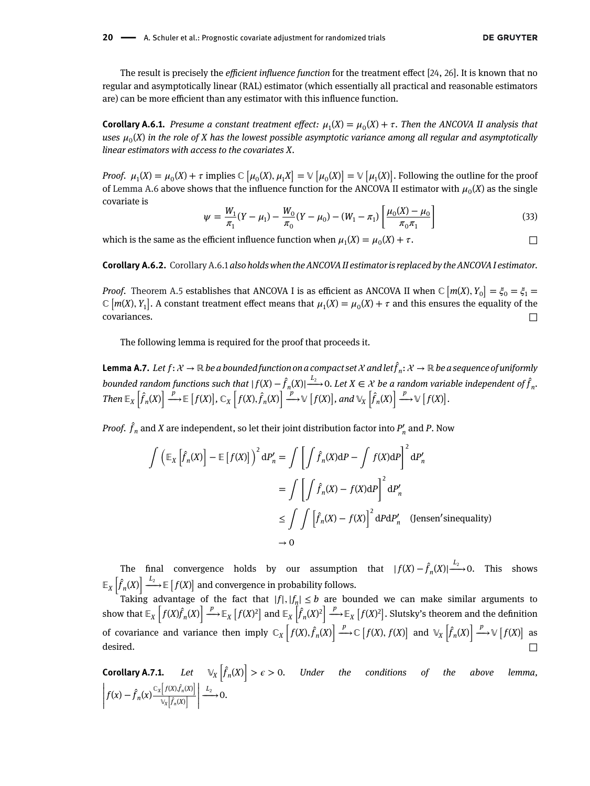The result is precisely the *efficient influence function* for the treatment effect [\[24,](#page-26-14) [26\]](#page-26-16). It is known that no regular and asymptotically linear (RAL) estimator (which essentially all practical and reasonable estimators are) can be more efficient than any estimator with this influence function.

<span id="page-19-0"></span>**Corollary A.6.1.** *Presume a constant treatment effect:*  $\mu_1(X) = \mu_0(X) + \tau$ . *Then the ANCOVA II analysis that* uses  $\mu_0(X)$  in the role of X has the lowest possible asymptotic variance among all regular and asymptotically *linear estimators with access to the covariates X.*

*Proof.*  $\mu_1(X) = \mu_0(X) + \tau$  implies  $\mathbb{C}[\mu_0(X), \mu_1(X)]$  $] = \mathbb{V} \left[ \mu_0(X) \right]$  $] = \mathbb{V} \left[ \mu_1(X) \right]$ ] . Following the outline for the proof of [Lemma A.6](#page-18-0) above shows that the influence function for the ANCOVA II estimator with  $\mu_0(X)$  as the single covariate is  $\overline{a}$  $\overline{a}$ 

$$
\psi = \frac{W_1}{\pi_1} (Y - \mu_1) - \frac{W_0}{\pi_0} (Y - \mu_0) - (W_1 - \pi_1) \left[ \frac{\mu_0(X) - \mu_0}{\pi_0 \pi_1} \right]
$$
(33)

<span id="page-19-1"></span>which is the same as the efficient influence function when  $\mu_1(X) = \mu_0(X) + \tau$ .

**Corollary A.6.2.** [Corollary A.6.1](#page-19-0) *also holds when the ANCOVA II estimator is replaced by the ANCOVA I estimator.*

*Proof.* [Theorem A.5](#page-17-0) establishes that ANCOVA I is as efficient as ANCOVA II when  $\mathbb{C}$   $[m(X), Y_0]$ ] orem A.5 establishes that ANCOVA I is as efficient as ANCOVA II when  $\mathbb{C}\left[m(X),Y_0\right]=\xi_0=\xi_1=0$ *Froof.* Theorem A.5 establishes that ANCOVA I is as enterent as ANCOVA II when  $\mathbb{C}$   $[m(X), Y_0] = \zeta_0 = \zeta_1 = \zeta$   $[m(X), Y_1]$ . A constant treatment effect means that  $\mu_1(X) = \mu_0(X) + \tau$  and this ensures the equality of the covariances.  $\Box$ 

The following lemma is required for the proof that proceeds it.

**Lemma A.7.** *Let*  $f: \mathcal{X} \to \mathbb{R}$  *be a bounded function on a compact set*  $\mathcal{X}$  *and let*  $\hat{f}_n: \mathcal{X} \to \mathbb{R}$  *be a sequence of uniformly* bounded random functions such that  $|f(X) - \hat{f}_n(X)| \to 0$ . Let  $X \in \mathcal{X}$  be a random variable independent of  $\hat{f}_n$ . *Then*  $\mathbb{E}_X$   $|f_n(X)| \longrightarrow \mathbb{E}$  $\ddot{\ }$ *f*(*X*) ں<br>ت  $\int_{X}^{R}(X) f(x) dx + \int_{R}^{R} f(x) dx + \int_{R}^{R} f(x) dx + C_{X}^{R} f(x) dx + C_{X}^{R} f(x) dx$ .<br>.  $\int$ , and  $\mathbb{V}_X \left[ \hat{f}_n(X) \right] \xrightarrow{p} \mathbb{V} \left[ f(X) \right]$ !' *.*

*Proof.*  $\hat{f}_n$  *and X are independent, so let their joint distribution factor into*  $P'_n$  *and*  $P$ *. Now* 

$$
\int \left( \mathbb{E}_X \left[ \hat{f}_n(X) \right] - \mathbb{E} \left[ f(X) \right] \right)^2 dP'_n = \int \left[ \int \hat{f}_n(X) dP - \int f(X) dP \right]^2 dP'_n
$$

$$
= \int \left[ \int \hat{f}_n(X) - f(X) dP \right]^2 dP'_n
$$

$$
\leq \int \int \left[ \hat{f}_n(X) - f(X) \right]^2 dP dP'_n \quad \text{(Jensen'sinequality)}
$$

$$
\to 0
$$

The final convergence holds by our assumption that  $| f(X) - \hat{f}_n(X) | \xrightarrow{L_2} 0$ . This shows *X*  $\overline{a}$  $f_n(X)$  $\parallel \frac{L_2}{\longrightarrow}$  **⊫**  $\overline{a}$ *f*(*X*) .<br>. and convergence in probability follows.

Taking advantage of the fact that  $|f|, |f_n| \le b$  are bounded we can make similar arguments to show that  $\mathbb{E}_\chi$ .c<br> $f(X)f_n(X)$ ] *<sup>p</sup>*  $\xrightarrow{r} \mathbb{E}_X$ .<br>.  $f(X)^2$ and  $\mathbb{E}_X$  $\frac{n}{2}$  $\left| \sum_{n} p^2 \right|$  are<br> $\left| \int_{0}^{a} (X)^2 \right|$  *p*  $\xrightarrow{r} \mathbb{E}_X$ .<br>. f(X)<sup>2</sup> $\left| \frac{f(X)^2}{2} \right|$  $\mathbb{E}_X \left[ f_n(X)^2 \right] \longrightarrow \mathbb{E}_X \left[ f(X)^2 \right]$ . Slutsky's theorem and the definition of covariance and variance then imply  $\mathbb{C}_X \left| f(X), \hat{f}_n(X) \right|$  $\left[ \frac{P}{\longrightarrow} \mathbb{C} \left[ f(X), f(X) \right] \text{ and } \mathbb{V}_X \left[ \hat{f}_n(X) \right]$  $\left| \right. \xrightarrow{p} \mathbb{V} \left[ f(X) \right]$  as desired.  $\Box$ 

<span id="page-19-2"></span>**Corollary A.7.1.** *Let <sup>X</sup>*  $\overline{a}$  $\ddot{f}_n(X)$ ]  $> \epsilon > 0$ . Under the conditions of the above lemma,  $\left| f(x) - \hat{f}_n(x) \right| \leq x$  $\overline{a}$  $f(X)$ , $f_n(X)$  $\overline{a}$ *X*  $\ddot{}$  $f_n(X)$ ] |<br>|<br>|<br>|<br>|  $\stackrel{L_2}{\longrightarrow} 0.$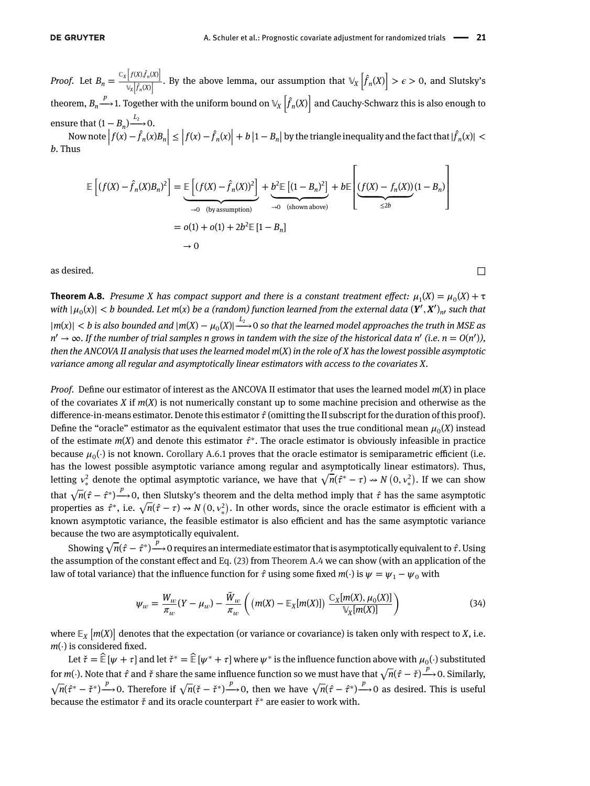*Proof.* Let  $B_n = \frac{C_x}{A}$  $\overline{a}$  $f(X)$ , $f_n(X)$ ] *X* .<br>7  $\left(\frac{\partial f_n(x)}{\partial f_n(x)}\right]$ . By the above lemma, our assumption that  $\mathbb{V}_X$  $\overline{a}$  $f_n(X)$  $\overline{a}$ ssumption that  $\mathbb{V}_X \left[ f_n(X) \right] > \epsilon > 0$ , and Slutsky's theorem,  $B_n {\xrightarrow{p}}$  1. Together with the uniform bound on  $\mathbb{V}_X \left[ \hat{f}_n(X) \right]$  and Cauchy-Schwarz this is also enough to ensure that  $(1 - B_n) \xrightarrow{L_2} 0$ .<br>Now note  $\left| f(x) - \hat{f}_n(x)B_n \right| \le \left| f(x) - \hat{f}_n(x) \right| + b \left| 1 - B_n \right|$  by the triangle inequality and the fact that  $|\hat{f}_n(x)| <$ *b*. Thus

$$
\mathbb{E}\left[(f(X) - \hat{f}_n(X)B_n)^2\right] = \underbrace{\mathbb{E}\left[(f(X) - \hat{f}_n(X))^2\right]}_{\to 0 \text{ (by assumption)}} + \underbrace{b^2 \mathbb{E}\left[(1 - B_n)^2\right]}_{\to 0 \text{ (shown above)}} + b \mathbb{E}\left[\underbrace{(f(X) - f_n(X)) (1 - B_n)}_{\leq 2b}(1 - B_n)\right]
$$
  
= o(1) + o(1) + 2b^2 \mathbb{E}\left[1 - B\_n\right]

<span id="page-20-0"></span>as desired.  $□$ 

**Theorem A.8.** *Presume X has compact support and there is a constant treatment effect:*  $\mu_1(X) = \mu_0(X) + \tau$  $|u_0(x)| < b$  bounded. Let m(x) be a (random) function learned from the external data  $(Y', X')_{n'}$  such that  $|m(x)| < b$  is also bounded and  $|m(X) - \mu_0(X)| \stackrel{L_2}{\longrightarrow} 0$  so that the learned model approaches the truth in MSE as *n*′ → ∞*. If the number of trial samples n grows in tandem with the size of the historical data n*′ *(i.e. n* = *O*(*n*′ )*), then the ANCOVA II analysis that uses the learned model m*(*X*) *in the role of X has the lowest possible asymptotic variance among all regular and asymptotically linear estimators with access to the covariates X.*

*Proof.* Define our estimator of interest as the ANCOVA II estimator that uses the learned model *m*(*X*) in place of the covariates *X* if *m*(*X*) is not numerically constant up to some machine precision and otherwise as the difference-in-means estimator. Denote this estimator  $\hat{\tau}$  (omitting the II subscript for the duration of this proof). Define the "oracle" estimator as the equivalent estimator that uses the true conditional mean  $\mu_0(X)$  instead of the estimate  $m(X)$  and denote this estimator  $\hat{\tau}^*$ . The oracle estimator is obviously infeasible in practice because  $\mu_0(\cdot)$  is not known. [Corollary A.6.1](#page-19-0) proves that the oracle estimator is semiparametric efficient (i.e. has the lowest possible asymptotic variance among regular and asymptotically linear estimators). Thus, nas the lowest possible asymptotic variance among regular and asymptotically linear estimators). Thus,<br>letting  $v^2_*$  denote the optimal asymptotic variance, we have that  $\sqrt{n}(\hat{r}^* - \tau) \rightsquigarrow N(0, v^2_*)$ . If we can show that  $\sqrt{n}(\hat{\tau} - \hat{\tau}^*) \xrightarrow{p} 0$ , then Slutsky's theorem and the delta method imply that  $\hat{\tau}$  has the same asymptotic that  $\sqrt{n(\tau - \tau^*)} \rightarrow 0$ , then Slutsky's theorem and the delta method imply that  $\tau$  has the same asymptotic properties as  $\hat{\tau}^*$ , i.e.  $\sqrt{n}(\hat{\tau} - \tau) \rightsquigarrow N(0, \nu^2_*)$ . In other words, since the oracle estimator is effic known asymptotic variance, the feasible estimator is also efficient and has the same asymptotic variance because the two are asymptotically equivalent.

(ase the two are asymptotically equivalent.<br>Showing  $\sqrt{n}(\hat{\tau}-\hat{\tau}^*) \xrightarrow{p} 0$  requires an intermediate estimator that is asymptotically equivalent to  $\hat{\tau}$ . Using the assumption of the constant effect and [Eq. \(23\)](#page-17-4) from [Theorem A.4](#page-17-2) we can show (with an application of the law of total variance) that the influence function for  $\hat{\tau}$  using some fixed  $m(\cdot)$  is  $\psi = \psi_1 - \psi_0$  with

$$
\psi_w = \frac{W_w}{\pi_w} (Y - \mu_w) - \frac{\tilde{W}_w}{\pi_w} \left( \left( m(X) - \mathbb{E}_X[m(X)] \right) \frac{\mathbb{C}_X[m(X), \mu_0(X)]}{\mathbb{V}_X[m(X)]} \right) \tag{34}
$$

where  $\mathbb{E}_{\textit{X}}$  $\overline{a}$ *m*(*X*) ] denotes that the expectation (or variance or covariance) is taken only with respect to *X*, i.e. *m*(⋅) is considered fixed.

Let  $\check{\tau} = \hat{\mathbb{E}}[\psi + \tau]$  and let  $\check{\tau}^* = \hat{\mathbb{E}}[\psi^* + \tau]$  where  $\psi^*$  is the influence function above with  $\mu_0(\cdot)$  substituted for *m*(⋅). Note that  $\hat{\tau}$  and  $\check{\tau}$  share the same influence function so we must have that  $\sqrt{n}(\hat{\tau} - \check{\tau}) \xrightarrow{p} 0$ . Similarly, √ $\sqrt{n}(\hat{i} - \hat{j} + \hat{k})$  *p*  $\rightarrow$  0. Therefore if  $\sqrt{n}(\hat{i} - \hat{j} + \hat{k})$  *p*  $\rightarrow$  0, then we have  $\sqrt{n}(\hat{i} - \hat{j} + \hat{k})$  as desired. This is useful because the estimator *̌* and its oracle counterpart *̌*<sup>∗</sup> are easier to work with.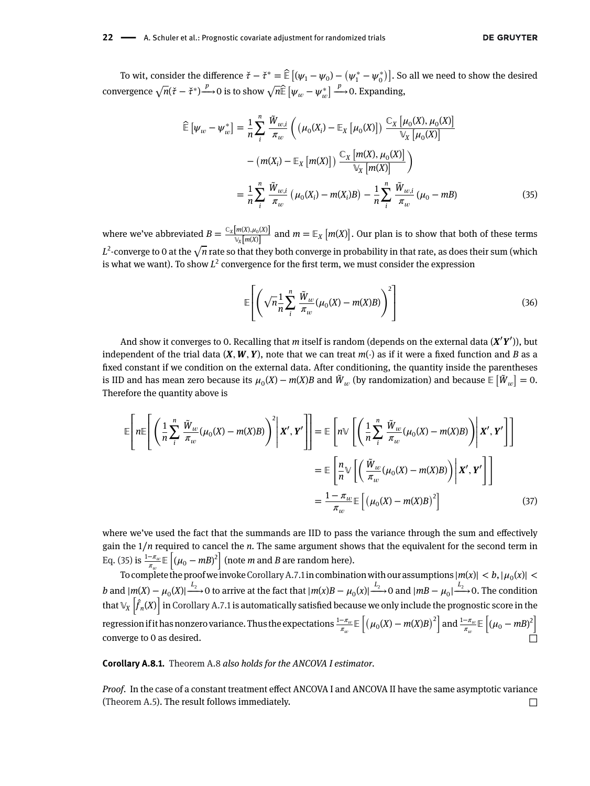To wit, consider the difference  $\check{\tau}-\check{\tau}^*=\widehat{\mathbb{E}}\left[(\psi_1-\psi_0)-\left(\psi_1^*-\psi_0^*\right)\right]$ . So all we need to show the desired convergence  $\sqrt{n}(\check{\tau} - \check{\tau}^*) \xrightarrow{p} 0$  is to show  $\sqrt{n} \hat{\mathbb{E}} [\psi_w - \psi_w^*$  $\frac{p}{\rightarrow}$  –→ 0. Expanding,

<span id="page-21-1"></span>
$$
\widehat{\mathbb{E}}\left[\psi_{w} - \psi_{w}^{*}\right] = \frac{1}{n} \sum_{i}^{n} \frac{\tilde{W}_{w,i}}{\pi_{w}} \left( \left(\mu_{0}(X_{i}) - \mathbb{E}_{X}\left[\mu_{0}(X)\right]\right) \frac{\mathbb{C}_{X}\left[\mu_{0}(X), \mu_{0}(X)\right]}{\mathbb{V}_{X}\left[\mu_{0}(X)\right]} - \left(m(X_{i}) - \mathbb{E}_{X}\left[m(X)\right]\right) \frac{\mathbb{C}_{X}\left[m(X), \mu_{0}(X)\right]}{\mathbb{V}_{X}\left[m(X)\right]}\right) \n= \frac{1}{n} \sum_{i}^{n} \frac{\tilde{W}_{w,i}}{\pi_{w}} \left(\mu_{0}(X_{i}) - m(X_{i})B\right) - \frac{1}{n} \sum_{i}^{n} \frac{\tilde{W}_{w,i}}{\pi_{w}} \left(\mu_{0} - mB\right)
$$
\n(35)

where we've abbreviated  $B = \frac{C_X[m(X), \mu_0(X)]}{\sqrt{x[m(X)]}}$  and  $m = \mathbb{E}_X$  [ *m*(*X*) ] . Our plan is to show that both of these terms  $\frac{V_X[m(X)]}{L^2}$ -converge to 0 at the √*n* rate so that they both converge in probability in that rate, as does their sum (which is what we want). To show  $L^2$  convergence for the first term, we must consider the expression

$$
\mathbb{E}\left[\left(\sqrt{n}\frac{1}{n}\sum_{i}^{n}\frac{\tilde{W}_{w}}{\pi_{w}}(\mu_{0}(X)-m(X)B)\right)^{2}\right]
$$
\n(36)

And show it converges to 0. Recalling that *m* itself is random (depends on the external data (*X*′ *Y*′ )), but independent of the trial data  $(X, W, Y)$ , note that we can treat  $m(·)$  as if it were a fixed function and *B* as a fixed constant if we condition on the external data. After conditioning, the quantity inside the parentheses is IID and has mean zero because its  $\mu_0(X) - m(X)B$  and  $\tilde{W}_w$  (by randomization) and because  $\mathbb{E} \left[ \tilde{W}_w \right] = 0.$ Therefore the quantity above is

$$
\mathbb{E}\left[n\mathbb{E}\left[\left(\frac{1}{n}\sum_{i}^{n}\frac{\tilde{W}_{w}}{\pi_{w}}(\mu_{0}(X)-m(X)B)\right)^{2}\middle|\mathbf{X}',\mathbf{Y}'\right]\right]=\mathbb{E}\left[n\mathbb{V}\left[\left(\frac{1}{n}\sum_{i}^{n}\frac{\tilde{W}_{w}}{\pi_{w}}(\mu_{0}(X)-m(X)B)\right)\middle|\mathbf{X}',\mathbf{Y}'\right]\right]
$$
\n
$$
=\mathbb{E}\left[\frac{n}{n}\mathbb{V}\left[\left(\frac{\tilde{W}_{w}}{\pi_{w}}(\mu_{0}(X)-m(X)B)\right)\middle|\mathbf{X}',\mathbf{Y}'\right]\right]
$$
\n
$$
=\frac{1-\pi_{w}}{\pi_{w}}\mathbb{E}\left[\left(\mu_{0}(X)-m(X)B\right)^{2}\right]
$$
\n(37)

where we've used the fact that the summands are IID to pass the variance through the sum and effectively gain the 1/*n* required to cancel the *n*. The same argument shows that the equivalent for the second term in [Eq. \(35\)](#page-21-1) is  $\frac{1-\pi_w}{\pi_w}$   $\mathbb{E}\left[ (\mu_0 - mB)^2 \right]$  (note *m* and *B* are random here).

To complete the proof we invoke Corollary A.7.1 in combination with our assumptions  $|m(x)| < b$ ,  $|\mu_0(x)| <$ b and  $|m(X) - \mu_0(X)| \xrightarrow{L_2} 0$  to arrive at the fact that  $|m(X)B - \mu_0(X)| \xrightarrow{L_2} 0$  and  $|mB - \mu_0| \xrightarrow{L_2} 0$ . The condition that  $\mathbb{V}_X$   $\big|f_n(X)\big|$  in [Corollary A.7.1](#page-19-2) is automatically satisfied because we only include the prognostic score in the regression if it has nonzero variance. Thus the expectations  $\frac{1-\pi_w}{\pi_w}$   $\boxdot$  $\frac{1}{\sqrt{2}}$  $\mu_0(X) - m(X)B$  $\frac{2}{10}$ and  $\frac{1-\pi_w}{\pi_w}$   $\boxplus$ .<br>.  $(\mu_0 - mB)^2$ converge to 0 as desired.  $□$ 

<span id="page-21-0"></span>**Corollary A.8.1.** [Theorem A.8](#page-20-0) *also holds for the ANCOVA I estimator.*

*Proof.* In the case of a constant treatment effect ANCOVA I and ANCOVA II have the same asymptotic variance [\(Theorem A.5\)](#page-17-0). The result follows immediately.  $\Box$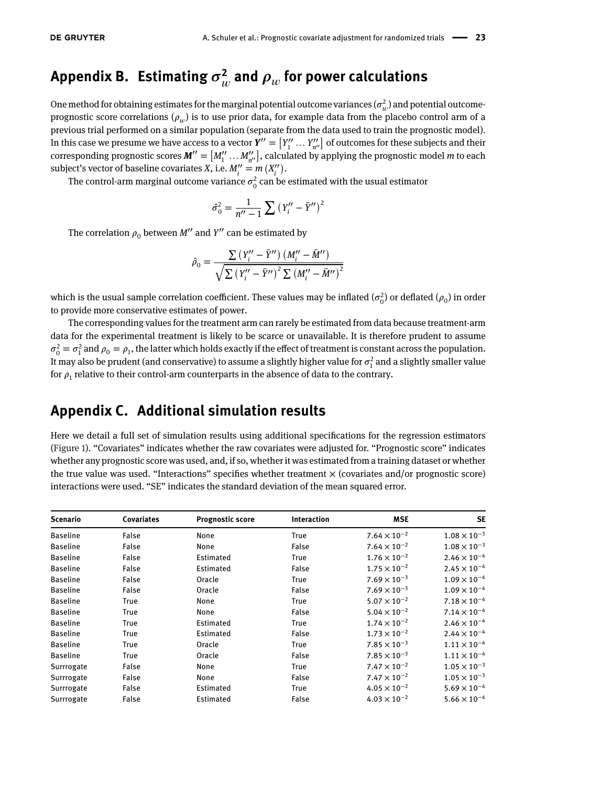# Appendix B. Estimating  $\sigma_w^2$  and  $\rho_w$  for power calculations

One method for obtaining estimates for the marginal potential outcome variances  $(\sigma_w^2)$  and potential outcomeprognostic score correlations ( $\rho_w$ ) is to use prior data, for example data from the placebo control arm of a previous trial performed on a similar population (separate from the data used to train the prognostic model). In this case we presume we have access to a vector *<sup>Y</sup>*′′ <sup>=</sup> [ *Y*′′ <sup>1</sup> …*Y*′′ *n*′′] of outcomes for these subjects and their for this case we presume we have access to a vector  $\mathbf{Y} = [Y_1 \dots Y_{n''}]$  or outcomes for these subjects and then<br>corresponding prognostic scores  $\mathbf{M}'' = [M''_1 \dots M''_{n''}],$  calculated by applying the prognostic model *m* to e subject's vector of baseline covariates *X*, i.e.  $M''_i = m(X''_i)$ .

The control-arm marginal outcome variance  $\sigma_0^2$  can be estimated with the usual estimator

$$
\hat{\sigma}_0^2 = \frac{1}{n^{\prime\prime} - 1} \sum \left( Y_i^{\prime\prime} - \bar{Y}^{\prime\prime} \right)^2
$$

The correlation  $\rho_0$  between *M''* and *Y''* can be estimated by

$$
\hat{\rho}_0 = \frac{\sum (Y_i'' - \bar{Y}'') (M_i'' - \bar{M}'')}{\sqrt{\sum (Y_i'' - \bar{Y}'')^2 \sum (M_i'' - \bar{M}'')^2}}
$$

which is the usual sample correlation coefficient. These values may be inflated  $(\sigma_0^2)$  or deflated  $(\rho_0)$  in order to provide more conservative estimates of power.

The corresponding values for the treatment arm can rarely be estimated from data because treatment-arm data for the experimental treatment is likely to be scarce or unavailable. It is therefore prudent to assume  $\sigma_0^2 = \sigma_1^2$  and  $\rho_0 = \rho_1$ , the latter which holds exactly if the effect of treatment is constant across the population. It may also be prudent (and conservative) to assume a slightly higher value for  $\sigma_1^2$  and a slightly smaller value for  $\rho_1$  relative to their control-arm counterparts in the absence of data to the contrary.

## **Appendix C. Additional simulation results**

Here we detail a full set of simulation results using additional specifications for the regression estimators [\(Figure 1\)](#page-24-0). "Covariates" indicates whether the raw covariates were adjusted for. "Prognostic score" indicates whether any prognostic score was used, and, if so, whether it was estimated from a training dataset or whether the true value was used. "Interactions" specifies whether treatment  $\times$  (covariates and/or prognostic score) interactions were used. "SE" indicates the standard deviation of the mean squared error.

| <b>Scenario</b> | <b>Covariates</b> | <b>Prognostic score</b> | <b>Interaction</b> | <b>MSE</b>            | <b>SE</b>             |
|-----------------|-------------------|-------------------------|--------------------|-----------------------|-----------------------|
| <b>Baseline</b> | False             | None                    | True               | $7.64 \times 10^{-2}$ | $1.08 \times 10^{-3}$ |
| <b>Baseline</b> | False             | None                    | False              | $7.64 \times 10^{-2}$ | $1.08\times10^{-3}$   |
| <b>Baseline</b> | False             | Estimated               | True               | $1.76 \times 10^{-2}$ | $2.46 \times 10^{-4}$ |
| <b>Baseline</b> | False             | Estimated               | False              | $1.75 \times 10^{-2}$ | $2.45 \times 10^{-4}$ |
| <b>Baseline</b> | False             | Oracle                  | True               | $7.69 \times 10^{-3}$ | $1.09 \times 10^{-4}$ |
| <b>Baseline</b> | False             | Oracle                  | False              | $7.69 \times 10^{-3}$ | $1.09 \times 10^{-4}$ |
| <b>Baseline</b> | True              | None                    | True               | $5.07 \times 10^{-2}$ | $7.18 \times 10^{-4}$ |
| <b>Baseline</b> | True              | None                    | False              | $5.04 \times 10^{-2}$ | $7.14\times10^{-4}$   |
| <b>Baseline</b> | True              | Estimated               | True               | $1.74 \times 10^{-2}$ | $2.46 \times 10^{-4}$ |
| <b>Baseline</b> | True              | Estimated               | False              | $1.73 \times 10^{-2}$ | $2.44 \times 10^{-4}$ |
| <b>Baseline</b> | True              | Oracle                  | True               | $7.85 \times 10^{-3}$ | $1.11 \times 10^{-4}$ |
| <b>Baseline</b> | True              | Oracle                  | False              | $7.85 \times 10^{-3}$ | $1.11 \times 10^{-4}$ |
| Surrrogate      | False             | None                    | True               | $7.47 \times 10^{-2}$ | $1.05 \times 10^{-3}$ |
| Surrrogate      | False             | None                    | False              | $7.47 \times 10^{-2}$ | $1.05 \times 10^{-3}$ |
| Surrrogate      | False             | Estimated               | True               | $4.05 \times 10^{-2}$ | $5.69 \times 10^{-4}$ |
| Surrrogate      | False             | Estimated               | False              | $4.03 \times 10^{-2}$ | $5.66 \times 10^{-4}$ |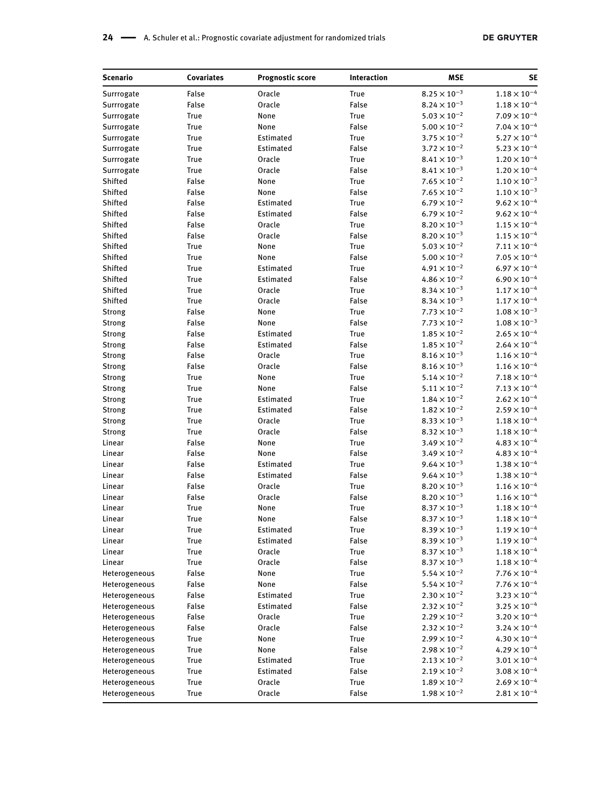| Scenario      | Covariates  | <b>Prognostic score</b> | Interaction | <b>MSE</b>            | <b>SE</b>             |
|---------------|-------------|-------------------------|-------------|-----------------------|-----------------------|
| Surrrogate    | False       | Oracle                  | True        | $8.25\times10^{-3}$   | $1.18 \times 10^{-4}$ |
| Surrrogate    | False       | Oracle                  | False       | $8.24 \times 10^{-3}$ | $1.18\times10^{-4}$   |
| Surrrogate    | True        | None                    | True        | $5.03\times10^{-2}$   | $7.09 \times 10^{-4}$ |
| Surrrogate    | True        | None                    | False       | $5.00 \times 10^{-2}$ | $7.04 \times 10^{-4}$ |
| Surrrogate    | <b>True</b> | Estimated               | True        | $3.75 \times 10^{-2}$ | $5.27 \times 10^{-4}$ |
| Surrrogate    | True        | Estimated               | False       | $3.72\times10^{-2}$   | $5.23 \times 10^{-4}$ |
| Surrrogate    | True        | Oracle                  | True        | $8.41 \times 10^{-3}$ | $1.20 \times 10^{-4}$ |
| Surrrogate    | True        | Oracle                  | False       | $8.41\times10^{-3}$   | $1.20 \times 10^{-4}$ |
| Shifted       | False       | None                    | True        | $7.65 \times 10^{-2}$ | $1.10 \times 10^{-3}$ |
| Shifted       | False       | None                    | False       | $7.65 \times 10^{-2}$ | $1.10\times10^{-3}$   |
| Shifted       | False       | Estimated               | True        | $6.79 \times 10^{-2}$ | $9.62 \times 10^{-4}$ |
| Shifted       | False       | Estimated               | False       | $6.79\times10^{-2}$   | $9.62 \times 10^{-4}$ |
| Shifted       | False       | Oracle                  | True        | $8.20 \times 10^{-3}$ | $1.15 \times 10^{-4}$ |
| Shifted       | False       | Oracle                  | False       | $8.20 \times 10^{-3}$ | $1.15 \times 10^{-4}$ |
| Shifted       | True        | None                    | True        | $5.03 \times 10^{-2}$ | $7.11\times10^{-4}$   |
| Shifted       | True        | None                    | False       | $5.00 \times 10^{-2}$ | $7.05 \times 10^{-4}$ |
| Shifted       | True        | Estimated               | True        | $4.91 \times 10^{-2}$ | $6.97 \times 10^{-4}$ |
| Shifted       | True        | Estimated               | False       | $4.86 \times 10^{-2}$ | $6.90 \times 10^{-4}$ |
| Shifted       | True        | Oracle                  | True        | $8.34 \times 10^{-3}$ | $1.17 \times 10^{-4}$ |
| Shifted       | True        | Oracle                  | False       | $8.34 \times 10^{-3}$ | $1.17 \times 10^{-4}$ |
| <b>Strong</b> | False       | None                    | True        | $7.73 \times 10^{-2}$ | $1.08 \times 10^{-3}$ |
| <b>Strong</b> | False       | None                    | False       | $7.73 \times 10^{-2}$ | $1.08 \times 10^{-3}$ |
| Strong        | False       | Estimated               | True        | $1.85\times10^{-2}$   | $2.65 \times 10^{-4}$ |
| <b>Strong</b> | False       | Estimated               | False       | $1.85\times10^{-2}$   | $2.64 \times 10^{-4}$ |
| <b>Strong</b> | False       | Oracle                  | True        | $8.16\times10^{-3}$   | $1.16 \times 10^{-4}$ |
| <b>Strong</b> | False       | Oracle                  | False       | $8.16\times10^{-3}$   | $1.16\times10^{-4}$   |
| <b>Strong</b> | True        | None                    | True        | $5.14\times10^{-2}$   | $7.18 \times 10^{-4}$ |
| <b>Strong</b> | True        | None                    | False       | $5.11\times10^{-2}$   | $7.13 \times 10^{-4}$ |
| <b>Strong</b> | True        | Estimated               | True        | $1.84\times10^{-2}$   | $2.62 \times 10^{-4}$ |
| <b>Strong</b> | True        | Estimated               | False       | $1.82 \times 10^{-2}$ | $2.59\times10^{-4}$   |
| <b>Strong</b> | True        | Oracle                  | True        | $8.33 \times 10^{-3}$ | $1.18 \times 10^{-4}$ |
| <b>Strong</b> | True        | Oracle                  | False       | $8.32\times10^{-3}$   | $1.18\times10^{-4}$   |
| Linear        | False       | None                    | True        | $3.49\times10^{-2}$   | $4.83 \times 10^{-4}$ |
| Linear        | False       | None                    | False       | $3.49 \times 10^{-2}$ | $4.83 \times 10^{-4}$ |
| Linear        | False       | Estimated               | True        | $9.64\times10^{-3}$   | $1.38 \times 10^{-4}$ |
| Linear        | False       | Estimated               | False       | $9.64 \times 10^{-3}$ | $1.38 \times 10^{-4}$ |
| Linear        | False       | Oracle                  | True        | $8.20\times10^{-3}$   | $1.16 \times 10^{-4}$ |
| Linear        | False       | Oracle                  | False       | $8.20 \times 10^{-3}$ | $1.16\times10^{-4}$   |
| Linear        | <b>True</b> | None                    | <b>True</b> | $8.37 \times 10^{-3}$ | $1.18 \times 10^{-4}$ |
| Linear        | True        | None                    | False       | $8.37 \times 10^{-3}$ | $1.18\times10^{-4}$   |
| Linear        | True        | Estimated               | True        | $8.39 \times 10^{-3}$ | $1.19 \times 10^{-4}$ |
| Linear        | True        | Estimated               | False       | $8.39 \times 10^{-3}$ | $1.19 \times 10^{-4}$ |
| Linear        | True        | Oracle                  | True        | $8.37 \times 10^{-3}$ | $1.18\times10^{-4}$   |
| Linear        | <b>True</b> | Oracle                  | False       | $8.37 \times 10^{-3}$ | $1.18 \times 10^{-4}$ |
| Heterogeneous | False       | None                    | <b>True</b> | $5.54 \times 10^{-2}$ | $7.76 \times 10^{-4}$ |
| Heterogeneous | False       | None                    | False       | $5.54 \times 10^{-2}$ | $7.76 \times 10^{-4}$ |
| Heterogeneous | False       | Estimated               | True        | $2.30 \times 10^{-2}$ | $3.23 \times 10^{-4}$ |
| Heterogeneous | False       | Estimated               | False       | $2.32 \times 10^{-2}$ | $3.25 \times 10^{-4}$ |
| Heterogeneous | False       | Oracle                  | True        | $2.29 \times 10^{-2}$ | $3.20 \times 10^{-4}$ |
| Heterogeneous | False       | Oracle                  | False       | $2.32 \times 10^{-2}$ | $3.24 \times 10^{-4}$ |
| Heterogeneous | True        | None                    | True        | $2.99 \times 10^{-2}$ | $4.30 \times 10^{-4}$ |
| Heterogeneous | True        | None                    | False       | $2.98 \times 10^{-2}$ | $4.29 \times 10^{-4}$ |
| Heterogeneous | True        | Estimated               | True        | $2.13 \times 10^{-2}$ | $3.01 \times 10^{-4}$ |
| Heterogeneous | True        | Estimated               | False       | $2.19\times10^{-2}$   | $3.08 \times 10^{-4}$ |
| Heterogeneous | True        | Oracle                  | True        | $1.89 \times 10^{-2}$ | $2.69 \times 10^{-4}$ |
| Heterogeneous | <b>True</b> | Oracle                  | False       | $1.98 \times 10^{-2}$ | $2.81 \times 10^{-4}$ |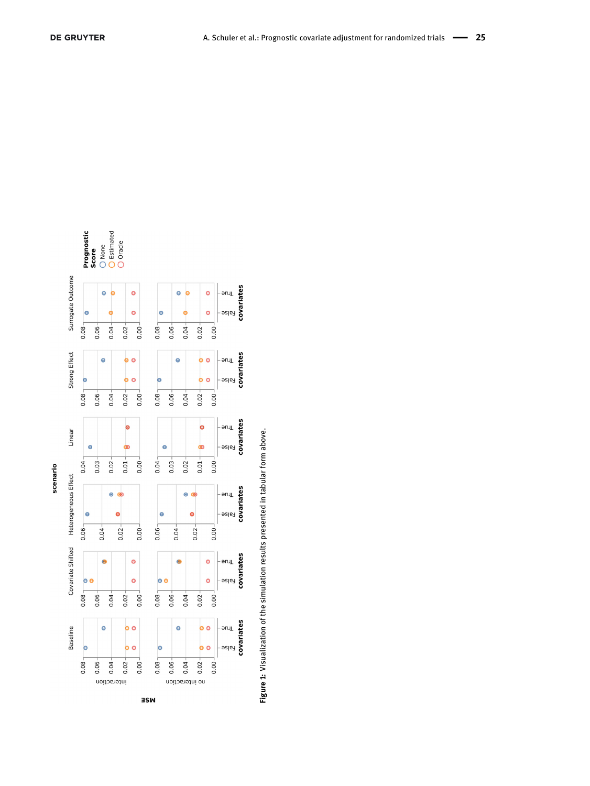<span id="page-24-0"></span>



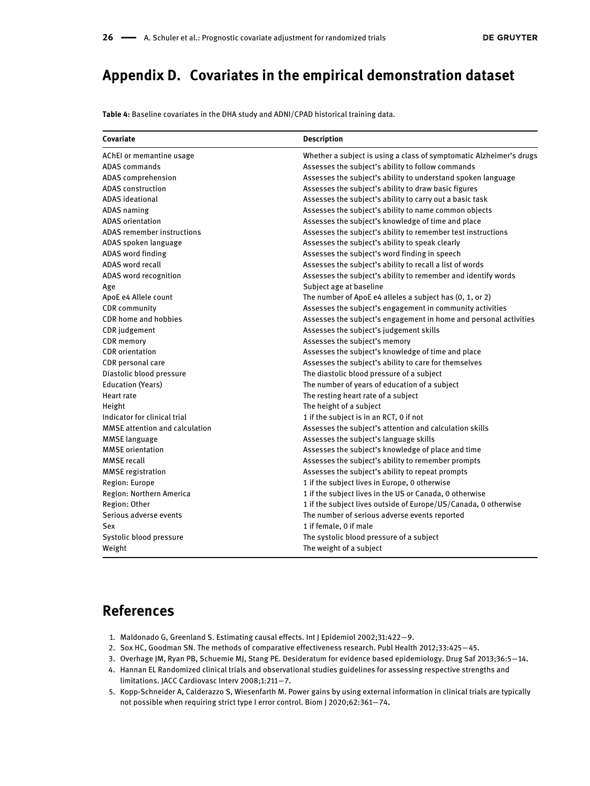# **Appendix D. Covariates in the empirical demonstration dataset**

<span id="page-25-4"></span>**Table 4:** Baseline covariates in the DHA study and ADNI/CPAD historical training data.

| Covariate                             | <b>Description</b>                                                  |  |  |  |  |
|---------------------------------------|---------------------------------------------------------------------|--|--|--|--|
| AChEI or memantine usage              | Whether a subject is using a class of symptomatic Alzheimer's drugs |  |  |  |  |
| <b>ADAS</b> commands                  | Assesses the subject's ability to follow commands                   |  |  |  |  |
| ADAS comprehension                    | Assesses the subject's ability to understand spoken language        |  |  |  |  |
| <b>ADAS</b> construction              | Assesses the subject's ability to draw basic figures                |  |  |  |  |
| <b>ADAS</b> ideational                | Assesses the subject's ability to carry out a basic task            |  |  |  |  |
| <b>ADAS</b> naming                    | Assesses the subject's ability to name common objects               |  |  |  |  |
| <b>ADAS</b> orientation               | Assesses the subject's knowledge of time and place                  |  |  |  |  |
| ADAS remember instructions            | Assesses the subject's ability to remember test instructions        |  |  |  |  |
| ADAS spoken language                  | Assesses the subject's ability to speak clearly                     |  |  |  |  |
| ADAS word finding                     | Assesses the subject's word finding in speech                       |  |  |  |  |
| ADAS word recall                      | Assesses the subject's ability to recall a list of words            |  |  |  |  |
| ADAS word recognition                 | Assesses the subject's ability to remember and identify words       |  |  |  |  |
| Age                                   | Subject age at baseline                                             |  |  |  |  |
| ApoE e4 Allele count                  | The number of ApoE e4 alleles a subject has (0, 1, or 2)            |  |  |  |  |
| <b>CDR</b> community                  | Assesses the subject's engagement in community activities           |  |  |  |  |
| CDR home and hobbies                  | Assesses the subject's engagement in home and personal activities   |  |  |  |  |
| <b>CDR</b> judgement                  | Assesses the subject's judgement skills                             |  |  |  |  |
| <b>CDR</b> memory                     | Assesses the subject's memory                                       |  |  |  |  |
| <b>CDR</b> orientation                | Assesses the subject's knowledge of time and place                  |  |  |  |  |
| CDR personal care                     | Assesses the subject's ability to care for themselves               |  |  |  |  |
| Diastolic blood pressure              | The diastolic blood pressure of a subject                           |  |  |  |  |
| <b>Education (Years)</b>              | The number of years of education of a subject                       |  |  |  |  |
| Heart rate                            | The resting heart rate of a subject                                 |  |  |  |  |
| Height                                | The height of a subject                                             |  |  |  |  |
| Indicator for clinical trial          | 1 if the subject is in an RCT, 0 if not                             |  |  |  |  |
| <b>MMSE</b> attention and calculation | Assesses the subject's attention and calculation skills             |  |  |  |  |
| <b>MMSE</b> language                  | Assesses the subject's language skills                              |  |  |  |  |
| <b>MMSE</b> orientation               | Assesses the subject's knowledge of place and time                  |  |  |  |  |
| <b>MMSE</b> recall                    | Assesses the subject's ability to remember prompts                  |  |  |  |  |
| <b>MMSE</b> registration              | Assesses the subject's ability to repeat prompts                    |  |  |  |  |
| Region: Europe                        | 1 if the subject lives in Europe, 0 otherwise                       |  |  |  |  |
| Region: Northern America              | 1 if the subject lives in the US or Canada, 0 otherwise             |  |  |  |  |
| Region: Other                         | 1 if the subject lives outside of Europe/US/Canada, 0 otherwise     |  |  |  |  |
| Serious adverse events                | The number of serious adverse events reported                       |  |  |  |  |
| Sex                                   | 1 if female, 0 if male                                              |  |  |  |  |
| Systolic blood pressure               | The systolic blood pressure of a subject                            |  |  |  |  |
| Weight                                | The weight of a subject                                             |  |  |  |  |

# **References**

- <span id="page-25-0"></span>1. Maldonado G, Greenland S. Estimating causal effects. Int J Epidemiol 2002;31:422−9.
- <span id="page-25-1"></span>2. Sox HC, Goodman SN. The methods of comparative effectiveness research. Publ Health 2012;33:425−45.
- 3. Overhage JM, Ryan PB, Schuemie MJ, Stang PE. Desideratum for evidence based epidemiology. Drug Saf 2013;36:5−14.
- <span id="page-25-2"></span>4. Hannan EL Randomized clinical trials and observational studies guidelines for assessing respective strengths and limitations. JACC Cardiovasc Interv 2008;1:211−7.
- <span id="page-25-3"></span>5. Kopp-Schneider A, Calderazzo S, Wiesenfarth M. Power gains by using external information in clinical trials are typically not possible when requiring strict type I error control. Biom J 2020;62:361−74.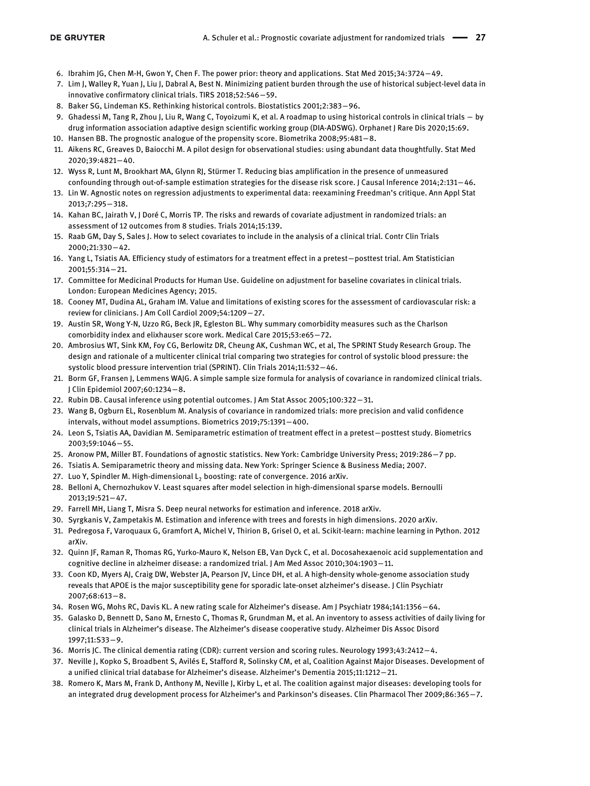- 6. Ibrahim JG, Chen M-H, Gwon Y, Chen F. The power prior: theory and applications. Stat Med 2015;34:3724−49.
- 7. Lim J, Walley R, Yuan J, Liu J, Dabral A, Best N. Minimizing patient burden through the use of historical subject-level data in innovative confirmatory clinical trials. TIRS 2018;52:546−59.
- <span id="page-26-0"></span>8. Baker SG, Lindeman KS. Rethinking historical controls. Biostatistics 2001;2:383−96.
- <span id="page-26-1"></span>9. Ghadessi M, Tang R, Zhou J, Liu R, Wang C, Toyoizumi K, et al. A roadmap to using historical controls in clinical trials − by drug information association adaptive design scientific working group (DIA-ADSWG). Orphanet J Rare Dis 2020;15:69.
- <span id="page-26-2"></span>10. Hansen BB. The prognostic analogue of the propensity score. Biometrika 2008;95:481−8.
- 11. Aikens RC, Greaves D, Baiocchi M. A pilot design for observational studies: using abundant data thoughtfully. Stat Med 2020;39:4821−40.
- <span id="page-26-3"></span>12. Wyss R, Lunt M, Brookhart MA, Glynn RJ, Stürmer T. Reducing bias amplification in the presence of unmeasured confounding through out-of-sample estimation strategies for the disease risk score. J Causal Inference 2014;2:131−46.
- <span id="page-26-4"></span>13. Lin W. Agnostic notes on regression adjustments to experimental data: reexamining Freedman's critique. Ann Appl Stat 2013;7:295−318.
- <span id="page-26-7"></span>14. Kahan BC, Jairath V, J Doré C, Morris TP. The risks and rewards of covariate adjustment in randomized trials: an assessment of 12 outcomes from 8 studies. Trials 2014;15:139.
- <span id="page-26-8"></span>15. Raab GM, Day S, Sales J. How to select covariates to include in the analysis of a clinical trial. Contr Clin Trials 2000;21:330−42.
- <span id="page-26-5"></span>16. Yang L, Tsiatis AA. Efficiency study of estimators for a treatment effect in a pretest−posttest trial. Am Statistician 2001;55:314−21.
- <span id="page-26-6"></span>17. Committee for Medicinal Products for Human Use. Guideline on adjustment for baseline covariates in clinical trials. London: European Medicines Agency; 2015.
- <span id="page-26-9"></span>18. Cooney MT, Dudina AL, Graham IM. Value and limitations of existing scores for the assessment of cardiovascular risk: a review for clinicians. J Am Coll Cardiol 2009;54:1209−27.
- 19. Austin SR, Wong Y-N, Uzzo RG, Beck JR, Egleston BL. Why summary comorbidity measures such as the Charlson comorbidity index and elixhauser score work. Medical Care 2015;53:e65−72.
- <span id="page-26-10"></span>20. Ambrosius WT, Sink KM, Foy CG, Berlowitz DR, Cheung AK, Cushman WC, et al, The SPRINT Study Research Group. The design and rationale of a multicenter clinical trial comparing two strategies for control of systolic blood pressure: the systolic blood pressure intervention trial (SPRINT). Clin Trials 2014;11:532−46.
- <span id="page-26-11"></span>21. Borm GF, Fransen J, Lemmens WAJG. A simple sample size formula for analysis of covariance in randomized clinical trials. J Clin Epidemiol 2007;60:1234−8.
- <span id="page-26-12"></span>22. Rubin DB. Causal inference using potential outcomes. J Am Stat Assoc 2005;100:322−31.
- <span id="page-26-13"></span>23. Wang B, Ogburn EL, Rosenblum M. Analysis of covariance in randomized trials: more precision and valid confidence intervals, without model assumptions. Biometrics 2019;75:1391−400.
- <span id="page-26-14"></span>24. Leon S, Tsiatis AA, Davidian M. Semiparametric estimation of treatment effect in a pretest−posttest study. Biometrics 2003;59:1046−55.
- <span id="page-26-15"></span>25. Aronow PM, Miller BT. Foundations of agnostic statistics. New York: Cambridge University Press; 2019:286−7 pp.
- <span id="page-26-16"></span>26. Tsiatis A. Semiparametric theory and missing data. New York: Springer Science & Business Media; 2007.
- <span id="page-26-17"></span>27. Luo Y, Spindler M. High-dimensional L<sub>2</sub> boosting: rate of convergence. 2016 arXiv.
- 28. Belloni A, Chernozhukov V. Least squares after model selection in high-dimensional sparse models. Bernoulli 2013;19:521−47.
- 29. Farrell MH, Liang T, Misra S. Deep neural networks for estimation and inference. 2018 arXiv.
- <span id="page-26-18"></span>30. Syrgkanis V, Zampetakis M. Estimation and inference with trees and forests in high dimensions. 2020 arXiv.
- <span id="page-26-19"></span>31. Pedregosa F, Varoquaux G, Gramfort A, Michel V, Thirion B, Grisel O, et al. Scikit-learn: machine learning in Python. 2012 arXiv.
- <span id="page-26-20"></span>32. Quinn JF, Raman R, Thomas RG, Yurko-Mauro K, Nelson EB, Van Dyck C, et al. Docosahexaenoic acid supplementation and cognitive decline in alzheimer disease: a randomized trial. J Am Med Assoc 2010;304:1903−11.
- <span id="page-26-21"></span>33. Coon KD, Myers AJ, Craig DW, Webster JA, Pearson JV, Lince DH, et al. A high-density whole-genome association study reveals that APOE is the major susceptibility gene for sporadic late-onset alzheimer's disease. J Clin Psychiatr 2007;68:613−8.
- <span id="page-26-22"></span>34. Rosen WG, Mohs RC, Davis KL. A new rating scale for Alzheimer's disease. Am J Psychiatr 1984;141:1356−64.
- <span id="page-26-23"></span>35. Galasko D, Bennett D, Sano M, Ernesto C, Thomas R, Grundman M, et al. An inventory to assess activities of daily living for clinical trials in Alzheimer's disease. The Alzheimer's disease cooperative study. Alzheimer Dis Assoc Disord 1997;11:S33−9.
- <span id="page-26-24"></span>36. Morris JC. The clinical dementia rating (CDR): current version and scoring rules. Neurology 1993;43:2412−4.
- <span id="page-26-25"></span>37. Neville J, Kopko S, Broadbent S, Avilés E, Stafford R, Solinsky CM, et al, Coalition Against Major Diseases. Development of a unified clinical trial database for Alzheimer's disease. Alzheimer's Dementia 2015;11:1212−21.
- <span id="page-26-27"></span><span id="page-26-26"></span>38. Romero K, Mars M, Frank D, Anthony M, Neville J, Kirby L, et al. The coalition against major diseases: developing tools for an integrated drug development process for Alzheimer's and Parkinson's diseases. Clin Pharmacol Ther 2009;86:365−7.